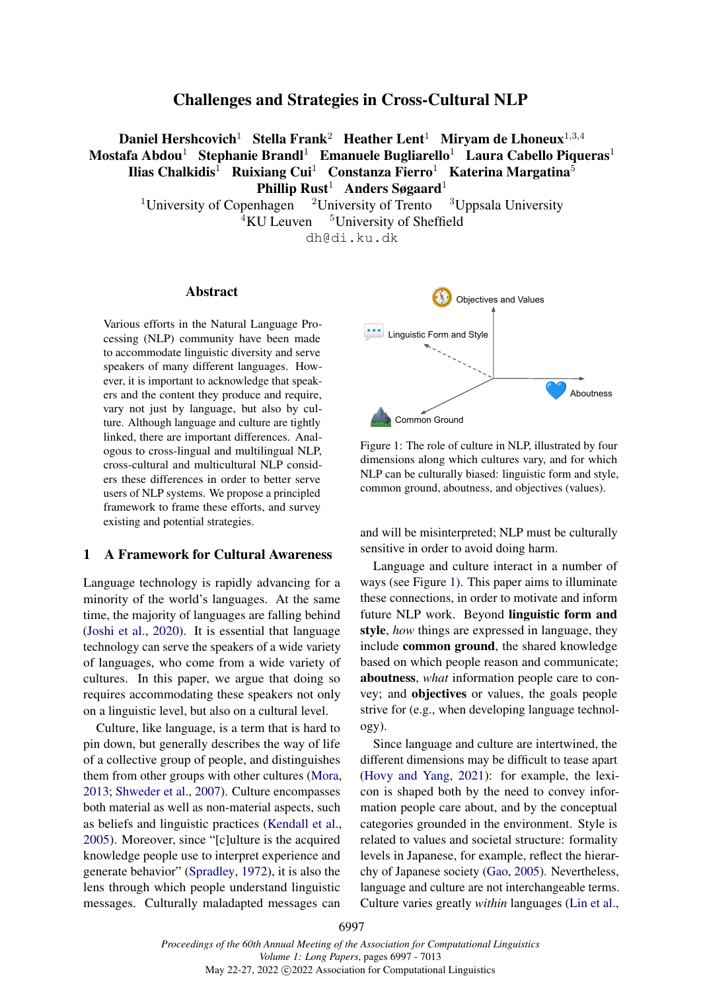# Challenges and Strategies in Cross-Cultural NLP

Daniel Hershcovich<sup>1</sup> Stella Frank<sup>2</sup> Heather Lent<sup>1</sup> Mirvam de Lhoneux<sup>1,3,4</sup> Mostafa Abdou<sup>1</sup> Stephanie Brandl<sup>1</sup> Emanuele Bugliarello<sup>1</sup> Laura Cabello Piqueras<sup>1</sup> Ilias Chalkidis<sup>1</sup> Ruixiang Cui<sup>1</sup> Constanza Fierro<sup>1</sup> Katerina Margatina<sup>5</sup> Phillip Rust<sup>1</sup> Anders Søgaard<sup>1</sup>

<sup>1</sup>University of Copenhagen  $\frac{2 \text{University of Trento}}{2 \text{Juppsala University}}$  $4\text{KU}$  Leuven  $5\text{University of Sheffield}$ dh@di.ku.dk

Abstract

Various efforts in the Natural Language Processing (NLP) community have been made to accommodate linguistic diversity and serve speakers of many different languages. However, it is important to acknowledge that speakers and the content they produce and require, vary not just by language, but also by culture. Although language and culture are tightly linked, there are important differences. Analogous to cross-lingual and multilingual NLP, cross-cultural and multicultural NLP considers these differences in order to better serve users of NLP systems. We propose a principled framework to frame these efforts, and survey existing and potential strategies.

#### 1 A Framework for Cultural Awareness

Language technology is rapidly advancing for a minority of the world's languages. At the same time, the majority of languages are falling behind [\(Joshi et al.,](#page-12-0) [2020\)](#page-12-0). It is essential that language technology can serve the speakers of a wide variety of languages, who come from a wide variety of cultures. In this paper, we argue that doing so requires accommodating these speakers not only on a linguistic level, but also on a cultural level.

Culture, like language, is a term that is hard to pin down, but generally describes the way of life of a collective group of people, and distinguishes them from other groups with other cultures [\(Mora,](#page-13-0) [2013;](#page-13-0) [Shweder et al.,](#page-15-0) [2007\)](#page-15-0). Culture encompasses both material as well as non-material aspects, such as beliefs and linguistic practices [\(Kendall et al.,](#page-12-1) [2005\)](#page-12-1). Moreover, since "[c]ulture is the acquired knowledge people use to interpret experience and generate behavior" [\(Spradley,](#page-15-1) [1972\)](#page-15-1), it is also the lens through which people understand linguistic messages. Culturally maladapted messages can

<span id="page-0-0"></span>

Figure 1: The role of culture in NLP, illustrated by four dimensions along which cultures vary, and for which NLP can be culturally biased: linguistic form and style, common ground, aboutness, and objectives (values).

and will be misinterpreted; NLP must be culturally sensitive in order to avoid doing harm.

Language and culture interact in a number of ways (see Figure [1\)](#page-0-0). This paper aims to illuminate these connections, in order to motivate and inform future NLP work. Beyond linguistic form and style, *how* things are expressed in language, they include common ground, the shared knowledge based on which people reason and communicate; aboutness, *what* information people care to convey; and objectives or values, the goals people strive for (e.g., when developing language technology).

Since language and culture are intertwined, the different dimensions may be difficult to tease apart [\(Hovy and Yang,](#page-11-0) [2021\)](#page-11-0): for example, the lexicon is shaped both by the need to convey information people care about, and by the conceptual categories grounded in the environment. Style is related to values and societal structure: formality levels in Japanese, for example, reflect the hierarchy of Japanese society [\(Gao,](#page-11-1) [2005\)](#page-11-1). Nevertheless, language and culture are not interchangeable terms. Culture varies greatly *within* languages [\(Lin et al.,](#page-12-2)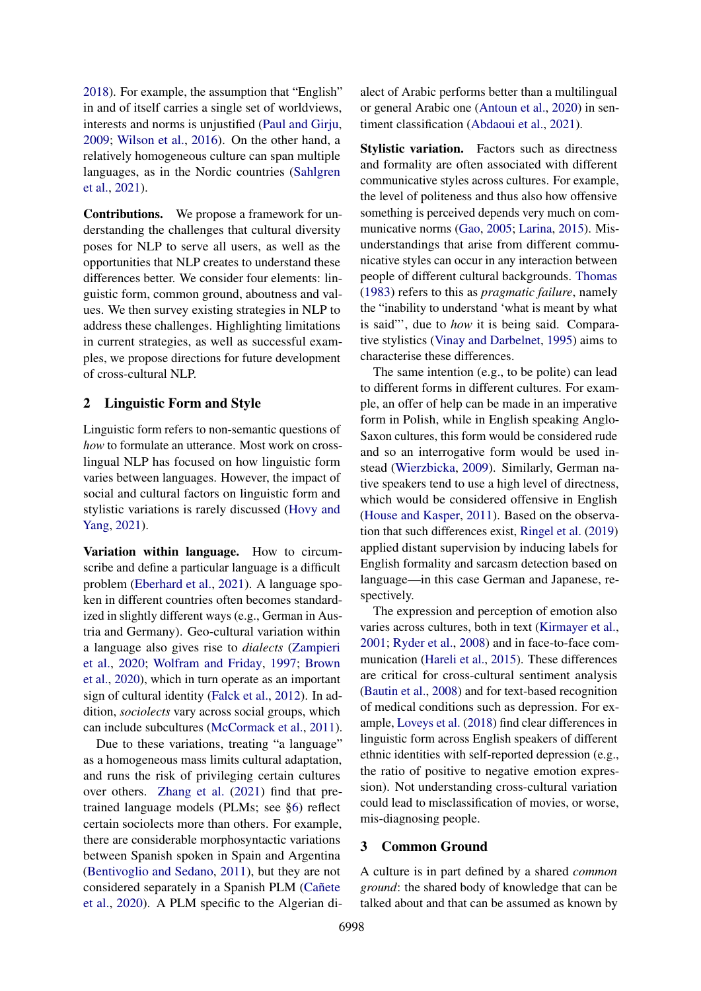[2018\)](#page-12-2). For example, the assumption that "English" in and of itself carries a single set of worldviews, interests and norms is unjustified [\(Paul and Girju,](#page-13-1) [2009;](#page-13-1) [Wilson et al.,](#page-15-2) [2016\)](#page-15-2). On the other hand, a relatively homogeneous culture can span multiple languages, as in the Nordic countries [\(Sahlgren](#page-14-0) [et al.,](#page-14-0) [2021\)](#page-14-0).

Contributions. We propose a framework for understanding the challenges that cultural diversity poses for NLP to serve all users, as well as the opportunities that NLP creates to understand these differences better. We consider four elements: linguistic form, common ground, aboutness and values. We then survey existing strategies in NLP to address these challenges. Highlighting limitations in current strategies, as well as successful examples, we propose directions for future development of cross-cultural NLP.

## 2 Linguistic Form and Style

Linguistic form refers to non-semantic questions of *how* to formulate an utterance. Most work on crosslingual NLP has focused on how linguistic form varies between languages. However, the impact of social and cultural factors on linguistic form and stylistic variations is rarely discussed [\(Hovy and](#page-11-0) [Yang,](#page-11-0) [2021\)](#page-11-0).

Variation within language. How to circumscribe and define a particular language is a difficult problem [\(Eberhard et al.,](#page-10-0) [2021\)](#page-10-0). A language spoken in different countries often becomes standardized in slightly different ways (e.g., German in Austria and Germany). Geo-cultural variation within a language also gives rise to *dialects* [\(Zampieri](#page-16-0) [et al.,](#page-16-0) [2020;](#page-16-0) [Wolfram and Friday,](#page-15-3) [1997;](#page-15-3) [Brown](#page-10-1) [et al.,](#page-10-1) [2020\)](#page-10-1), which in turn operate as an important sign of cultural identity [\(Falck et al.,](#page-10-2) [2012\)](#page-10-2). In addition, *sociolects* vary across social groups, which can include subcultures [\(McCormack et al.,](#page-13-2) [2011\)](#page-13-2).

Due to these variations, treating "a language" as a homogeneous mass limits cultural adaptation, and runs the risk of privileging certain cultures over others. [Zhang et al.](#page-16-1) [\(2021\)](#page-16-1) find that pretrained language models (PLMs; see [§6\)](#page-4-0) reflect certain sociolects more than others. For example, there are considerable morphosyntactic variations between Spanish spoken in Spain and Argentina [\(Bentivoglio and Sedano,](#page-9-0) [2011\)](#page-9-0), but they are not considered separately in a Spanish PLM [\(Cañete](#page-10-3) [et al.,](#page-10-3) [2020\)](#page-10-3). A PLM specific to the Algerian dialect of Arabic performs better than a multilingual or general Arabic one [\(Antoun et al.,](#page-9-1) [2020\)](#page-9-1) in sentiment classification [\(Abdaoui et al.,](#page-8-0) [2021\)](#page-8-0).

Stylistic variation. Factors such as directness and formality are often associated with different communicative styles across cultures. For example, the level of politeness and thus also how offensive something is perceived depends very much on communicative norms [\(Gao,](#page-11-1) [2005;](#page-11-1) [Larina,](#page-12-3) [2015\)](#page-12-3). Misunderstandings that arise from different communicative styles can occur in any interaction between people of different cultural backgrounds. [Thomas](#page-15-4) [\(1983\)](#page-15-4) refers to this as *pragmatic failure*, namely the "inability to understand 'what is meant by what is said"', due to *how* it is being said. Comparative stylistics [\(Vinay and Darbelnet,](#page-15-5) [1995\)](#page-15-5) aims to characterise these differences.

The same intention (e.g., to be polite) can lead to different forms in different cultures. For example, an offer of help can be made in an imperative form in Polish, while in English speaking Anglo-Saxon cultures, this form would be considered rude and so an interrogative form would be used instead [\(Wierzbicka,](#page-15-6) [2009\)](#page-15-6). Similarly, German native speakers tend to use a high level of directness, which would be considered offensive in English [\(House and Kasper,](#page-11-2) [2011\)](#page-11-2). Based on the observation that such differences exist, [Ringel et al.](#page-14-1) [\(2019\)](#page-14-1) applied distant supervision by inducing labels for English formality and sarcasm detection based on language—in this case German and Japanese, respectively.

The expression and perception of emotion also varies across cultures, both in text [\(Kirmayer et al.,](#page-12-4) [2001;](#page-12-4) [Ryder et al.,](#page-14-2) [2008\)](#page-14-2) and in face-to-face communication [\(Hareli et al.,](#page-11-3) [2015\)](#page-11-3). These differences are critical for cross-cultural sentiment analysis [\(Bautin et al.,](#page-9-2) [2008\)](#page-9-2) and for text-based recognition of medical conditions such as depression. For example, [Loveys et al.](#page-13-3) [\(2018\)](#page-13-3) find clear differences in linguistic form across English speakers of different ethnic identities with self-reported depression (e.g., the ratio of positive to negative emotion expression). Not understanding cross-cultural variation could lead to misclassification of movies, or worse, mis-diagnosing people.

#### <span id="page-1-0"></span>3 Common Ground

A culture is in part defined by a shared *common ground*: the shared body of knowledge that can be talked about and that can be assumed as known by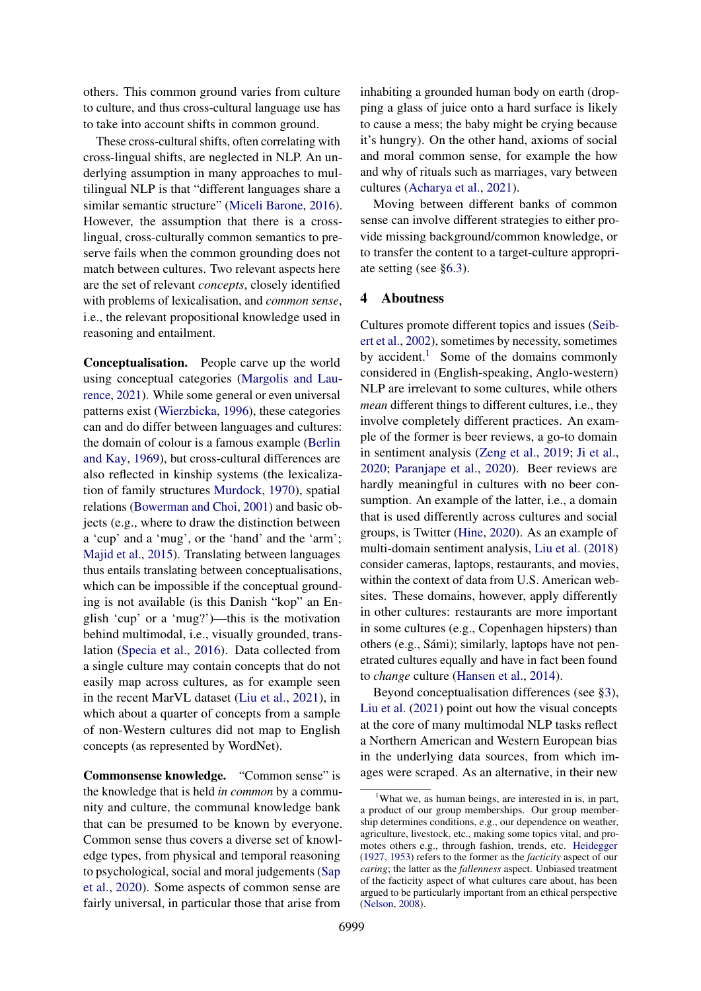others. This common ground varies from culture to culture, and thus cross-cultural language use has to take into account shifts in common ground.

These cross-cultural shifts, often correlating with cross-lingual shifts, are neglected in NLP. An underlying assumption in many approaches to multilingual NLP is that "different languages share a similar semantic structure" [\(Miceli Barone,](#page-13-4) [2016\)](#page-13-4). However, the assumption that there is a crosslingual, cross-culturally common semantics to preserve fails when the common grounding does not match between cultures. Two relevant aspects here are the set of relevant *concepts*, closely identified with problems of lexicalisation, and *common sense*, i.e., the relevant propositional knowledge used in reasoning and entailment.

Conceptualisation. People carve up the world using conceptual categories [\(Margolis and Lau](#page-13-5)[rence,](#page-13-5) [2021\)](#page-13-5). While some general or even universal patterns exist [\(Wierzbicka,](#page-15-7) [1996\)](#page-15-7), these categories can and do differ between languages and cultures: the domain of colour is a famous example [\(Berlin](#page-9-3) [and Kay,](#page-9-3) [1969\)](#page-9-3), but cross-cultural differences are also reflected in kinship systems (the lexicalization of family structures [Murdock,](#page-13-6) [1970\)](#page-13-6), spatial relations [\(Bowerman and Choi,](#page-10-4) [2001\)](#page-10-4) and basic objects (e.g., where to draw the distinction between a 'cup' and a 'mug', or the 'hand' and the 'arm'; [Majid et al.,](#page-13-7) [2015\)](#page-13-7). Translating between languages thus entails translating between conceptualisations, which can be impossible if the conceptual grounding is not available (is this Danish "kop" an English 'cup' or a 'mug?')—this is the motivation behind multimodal, i.e., visually grounded, translation [\(Specia et al.,](#page-15-8) [2016\)](#page-15-8). Data collected from a single culture may contain concepts that do not easily map across cultures, as for example seen in the recent MarVL dataset [\(Liu et al.,](#page-12-5) [2021\)](#page-12-5), in which about a quarter of concepts from a sample of non-Western cultures did not map to English concepts (as represented by WordNet).

Commonsense knowledge. "Common sense" is the knowledge that is held *in common* by a community and culture, the communal knowledge bank that can be presumed to be known by everyone. Common sense thus covers a diverse set of knowledge types, from physical and temporal reasoning to psychological, social and moral judgements [\(Sap](#page-14-3) [et al.,](#page-14-3) [2020\)](#page-14-3). Some aspects of common sense are fairly universal, in particular those that arise from

inhabiting a grounded human body on earth (dropping a glass of juice onto a hard surface is likely to cause a mess; the baby might be crying because it's hungry). On the other hand, axioms of social and moral common sense, for example the how and why of rituals such as marriages, vary between cultures [\(Acharya et al.,](#page-8-1) [2021\)](#page-8-1).

Moving between different banks of common sense can involve different strategies to either provide missing background/common knowledge, or to transfer the content to a target-culture appropriate setting (see [§6.3\)](#page-7-0).

## <span id="page-2-1"></span>4 Aboutness

Cultures promote different topics and issues [\(Seib](#page-14-4)[ert et al.,](#page-14-4) [2002\)](#page-14-4), sometimes by necessity, sometimes by accident.<sup>[1](#page-2-0)</sup> Some of the domains commonly considered in (English-speaking, Anglo-western) NLP are irrelevant to some cultures, while others *mean* different things to different cultures, i.e., they involve completely different practices. An example of the former is beer reviews, a go-to domain in sentiment analysis [\(Zeng et al.,](#page-16-2) [2019;](#page-16-2) [Ji et al.,](#page-11-4) [2020;](#page-11-4) [Paranjape et al.,](#page-13-8) [2020\)](#page-13-8). Beer reviews are hardly meaningful in cultures with no beer consumption. An example of the latter, i.e., a domain that is used differently across cultures and social groups, is Twitter [\(Hine,](#page-11-5) [2020\)](#page-11-5). As an example of multi-domain sentiment analysis, [Liu et al.](#page-12-6) [\(2018\)](#page-12-6) consider cameras, laptops, restaurants, and movies, within the context of data from U.S. American websites. These domains, however, apply differently in other cultures: restaurants are more important in some cultures (e.g., Copenhagen hipsters) than others (e.g., Sámi); similarly, laptops have not penetrated cultures equally and have in fact been found to *change* culture [\(Hansen et al.,](#page-11-6) [2014\)](#page-11-6).

Beyond conceptualisation differences (see [§3\)](#page-1-0), [Liu et al.](#page-12-5) [\(2021\)](#page-12-5) point out how the visual concepts at the core of many multimodal NLP tasks reflect a Northern American and Western European bias in the underlying data sources, from which images were scraped. As an alternative, in their new

<span id="page-2-0"></span><sup>&</sup>lt;sup>1</sup>What we, as human beings, are interested in is, in part, a product of our group memberships. Our group membership determines conditions, e.g., our dependence on weather, agriculture, livestock, etc., making some topics vital, and promotes others e.g., through fashion, trends, etc. [Heidegger](#page-11-7) [\(1927, 1953\)](#page-11-7) refers to the former as the *facticity* aspect of our *caring*; the latter as the *fallenness* aspect. Unbiased treatment of the facticity aspect of what cultures care about, has been argued to be particularly important from an ethical perspective [\(Nelson,](#page-13-9) [2008\)](#page-13-9).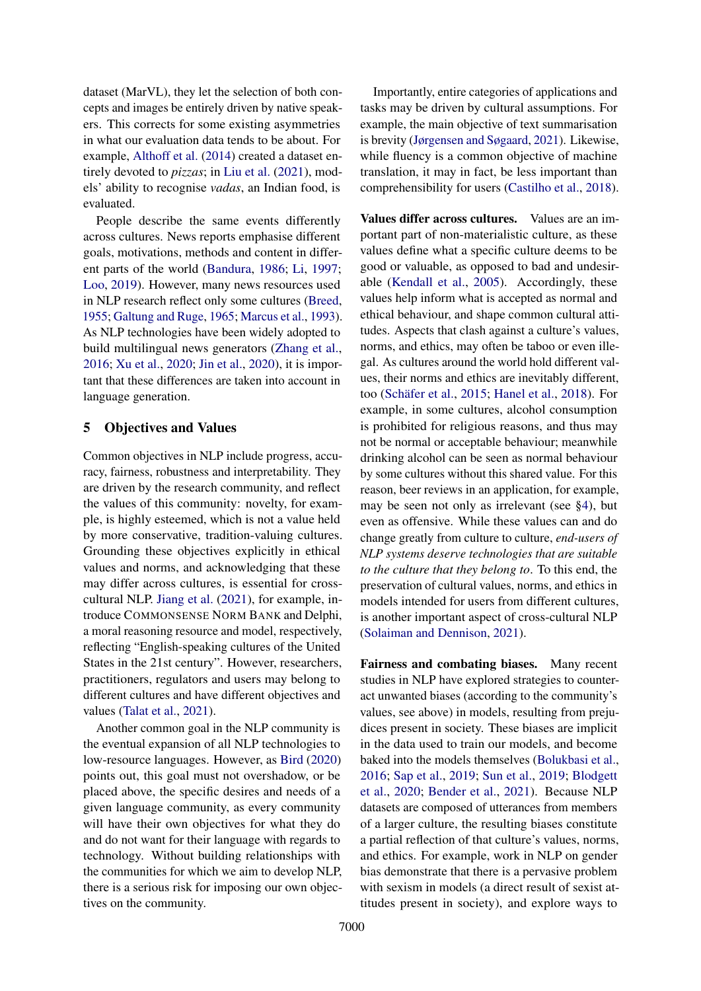dataset (MarVL), they let the selection of both concepts and images be entirely driven by native speakers. This corrects for some existing asymmetries in what our evaluation data tends to be about. For example, [Althoff et al.](#page-9-4) [\(2014\)](#page-9-4) created a dataset entirely devoted to *pizzas*; in [Liu et al.](#page-12-5) [\(2021\)](#page-12-5), models' ability to recognise *vadas*, an Indian food, is evaluated.

People describe the same events differently across cultures. News reports emphasise different goals, motivations, methods and content in different parts of the world [\(Bandura,](#page-9-5) [1986;](#page-9-5) [Li,](#page-12-7) [1997;](#page-12-7) [Loo,](#page-12-8) [2019\)](#page-12-8). However, many news resources used in NLP research reflect only some cultures [\(Breed,](#page-10-5) [1955;](#page-10-5) [Galtung and Ruge,](#page-11-8) [1965;](#page-11-8) [Marcus et al.,](#page-13-10) [1993\)](#page-13-10). As NLP technologies have been widely adopted to build multilingual news generators [\(Zhang et al.,](#page-16-3) [2016;](#page-16-3) [Xu et al.,](#page-16-4) [2020;](#page-16-4) [Jin et al.,](#page-11-9) [2020\)](#page-11-9), it is important that these differences are taken into account in language generation.

### <span id="page-3-0"></span>5 Objectives and Values

Common objectives in NLP include progress, accuracy, fairness, robustness and interpretability. They are driven by the research community, and reflect the values of this community: novelty, for example, is highly esteemed, which is not a value held by more conservative, tradition-valuing cultures. Grounding these objectives explicitly in ethical values and norms, and acknowledging that these may differ across cultures, is essential for crosscultural NLP. [Jiang et al.](#page-11-10) [\(2021\)](#page-11-10), for example, introduce COMMONSENSE NORM BANK and Delphi, a moral reasoning resource and model, respectively, reflecting "English-speaking cultures of the United States in the 21st century". However, researchers, practitioners, regulators and users may belong to different cultures and have different objectives and values [\(Talat et al.,](#page-15-9) [2021\)](#page-15-9).

Another common goal in the NLP community is the eventual expansion of all NLP technologies to low-resource languages. However, as [Bird](#page-9-6) [\(2020\)](#page-9-6) points out, this goal must not overshadow, or be placed above, the specific desires and needs of a given language community, as every community will have their own objectives for what they do and do not want for their language with regards to technology. Without building relationships with the communities for which we aim to develop NLP, there is a serious risk for imposing our own objectives on the community.

Importantly, entire categories of applications and tasks may be driven by cultural assumptions. For example, the main objective of text summarisation is brevity [\(Jørgensen and Søgaard,](#page-12-9) [2021\)](#page-12-9). Likewise, while fluency is a common objective of machine translation, it may in fact, be less important than comprehensibility for users [\(Castilho et al.,](#page-10-6) [2018\)](#page-10-6).

Values differ across cultures. Values are an important part of non-materialistic culture, as these values define what a specific culture deems to be good or valuable, as opposed to bad and undesirable [\(Kendall et al.,](#page-12-1) [2005\)](#page-12-1). Accordingly, these values help inform what is accepted as normal and ethical behaviour, and shape common cultural attitudes. Aspects that clash against a culture's values, norms, and ethics, may often be taboo or even illegal. As cultures around the world hold different values, their norms and ethics are inevitably different, too [\(Schäfer et al.,](#page-14-5) [2015;](#page-14-5) [Hanel et al.,](#page-11-11) [2018\)](#page-11-11). For example, in some cultures, alcohol consumption is prohibited for religious reasons, and thus may not be normal or acceptable behaviour; meanwhile drinking alcohol can be seen as normal behaviour by some cultures without this shared value. For this reason, beer reviews in an application, for example, may be seen not only as irrelevant (see [§4\)](#page-2-1), but even as offensive. While these values can and do change greatly from culture to culture, *end-users of NLP systems deserve technologies that are suitable to the culture that they belong to*. To this end, the preservation of cultural values, norms, and ethics in models intended for users from different cultures, is another important aspect of cross-cultural NLP [\(Solaiman and Dennison,](#page-15-10) [2021\)](#page-15-10).

Fairness and combating biases. Many recent studies in NLP have explored strategies to counteract unwanted biases (according to the community's values, see above) in models, resulting from prejudices present in society. These biases are implicit in the data used to train our models, and become baked into the models themselves [\(Bolukbasi et al.,](#page-9-7) [2016;](#page-9-7) [Sap et al.,](#page-14-6) [2019;](#page-14-6) [Sun et al.,](#page-15-11) [2019;](#page-15-11) [Blodgett](#page-9-8) [et al.,](#page-9-8) [2020;](#page-9-8) [Bender et al.,](#page-9-9) [2021\)](#page-9-9). Because NLP datasets are composed of utterances from members of a larger culture, the resulting biases constitute a partial reflection of that culture's values, norms, and ethics. For example, work in NLP on gender bias demonstrate that there is a pervasive problem with sexism in models (a direct result of sexist attitudes present in society), and explore ways to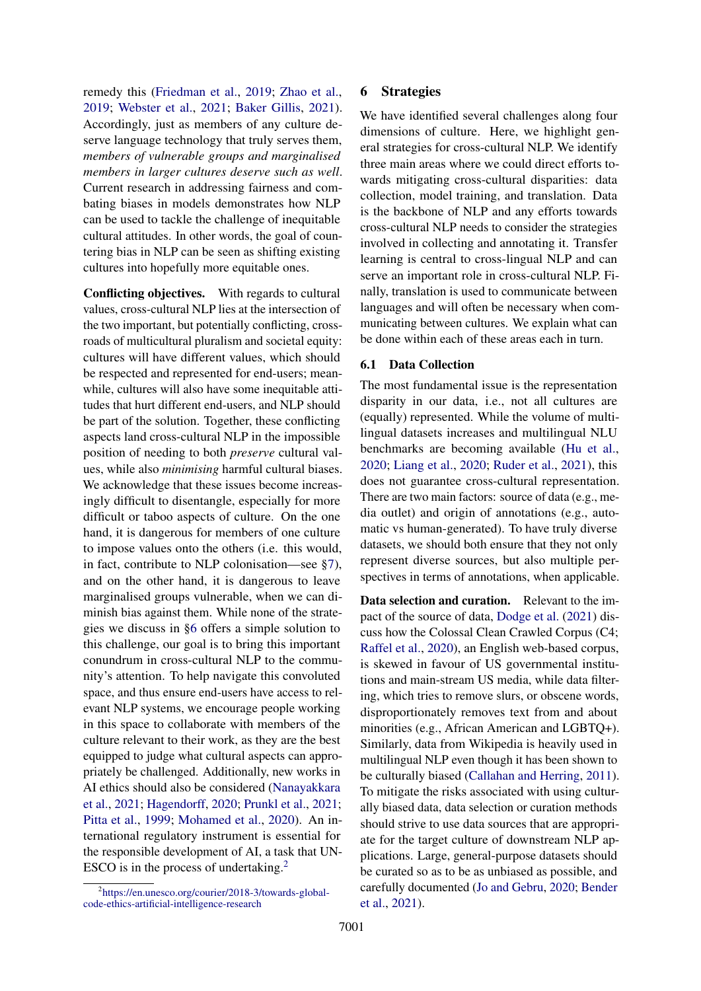remedy this [\(Friedman et al.,](#page-10-7) [2019;](#page-10-7) [Zhao et al.,](#page-16-5) [2019;](#page-16-5) [Webster et al.,](#page-15-12) [2021;](#page-15-12) [Baker Gillis,](#page-9-10) [2021\)](#page-9-10). Accordingly, just as members of any culture deserve language technology that truly serves them, *members of vulnerable groups and marginalised members in larger cultures deserve such as well*. Current research in addressing fairness and combating biases in models demonstrates how NLP can be used to tackle the challenge of inequitable cultural attitudes. In other words, the goal of countering bias in NLP can be seen as shifting existing cultures into hopefully more equitable ones.

Conflicting objectives. With regards to cultural values, cross-cultural NLP lies at the intersection of the two important, but potentially conflicting, crossroads of multicultural pluralism and societal equity: cultures will have different values, which should be respected and represented for end-users; meanwhile, cultures will also have some inequitable attitudes that hurt different end-users, and NLP should be part of the solution. Together, these conflicting aspects land cross-cultural NLP in the impossible position of needing to both *preserve* cultural values, while also *minimising* harmful cultural biases. We acknowledge that these issues become increasingly difficult to disentangle, especially for more difficult or taboo aspects of culture. On the one hand, it is dangerous for members of one culture to impose values onto the others (i.e. this would, in fact, contribute to NLP colonisation—see [§7\)](#page-8-2), and on the other hand, it is dangerous to leave marginalised groups vulnerable, when we can diminish bias against them. While none of the strategies we discuss in [§6](#page-4-0) offers a simple solution to this challenge, our goal is to bring this important conundrum in cross-cultural NLP to the community's attention. To help navigate this convoluted space, and thus ensure end-users have access to relevant NLP systems, we encourage people working in this space to collaborate with members of the culture relevant to their work, as they are the best equipped to judge what cultural aspects can appropriately be challenged. Additionally, new works in AI ethics should also be considered [\(Nanayakkara](#page-13-11) [et al.,](#page-13-11) [2021;](#page-13-11) [Hagendorff,](#page-11-12) [2020;](#page-11-12) [Prunkl et al.,](#page-14-7) [2021;](#page-14-7) [Pitta et al.,](#page-13-12) [1999;](#page-13-12) [Mohamed et al.,](#page-13-13) [2020\)](#page-13-13). An international regulatory instrument is essential for the responsible development of AI, a task that UN-ESCO is in the process of undertaking.<sup>[2](#page-4-1)</sup>

## <span id="page-4-0"></span>6 Strategies

We have identified several challenges along four dimensions of culture. Here, we highlight general strategies for cross-cultural NLP. We identify three main areas where we could direct efforts towards mitigating cross-cultural disparities: data collection, model training, and translation. Data is the backbone of NLP and any efforts towards cross-cultural NLP needs to consider the strategies involved in collecting and annotating it. Transfer learning is central to cross-lingual NLP and can serve an important role in cross-cultural NLP. Finally, translation is used to communicate between languages and will often be necessary when communicating between cultures. We explain what can be done within each of these areas each in turn.

#### 6.1 Data Collection

The most fundamental issue is the representation disparity in our data, i.e., not all cultures are (equally) represented. While the volume of multilingual datasets increases and multilingual NLU benchmarks are becoming available [\(Hu et al.,](#page-11-13) [2020;](#page-11-13) [Liang et al.,](#page-12-10) [2020;](#page-12-10) [Ruder et al.,](#page-14-8) [2021\)](#page-14-8), this does not guarantee cross-cultural representation. There are two main factors: source of data (e.g., media outlet) and origin of annotations (e.g., automatic vs human-generated). To have truly diverse datasets, we should both ensure that they not only represent diverse sources, but also multiple perspectives in terms of annotations, when applicable.

Data selection and curation. Relevant to the impact of the source of data, [Dodge et al.](#page-10-8) [\(2021\)](#page-10-8) discuss how the Colossal Clean Crawled Corpus (C4; [Raffel et al.,](#page-14-9) [2020\)](#page-14-9), an English web-based corpus, is skewed in favour of US governmental institutions and main-stream US media, while data filtering, which tries to remove slurs, or obscene words, disproportionately removes text from and about minorities (e.g., African American and LGBTQ+). Similarly, data from Wikipedia is heavily used in multilingual NLP even though it has been shown to be culturally biased [\(Callahan and Herring,](#page-10-9) [2011\)](#page-10-9). To mitigate the risks associated with using culturally biased data, data selection or curation methods should strive to use data sources that are appropriate for the target culture of downstream NLP applications. Large, general-purpose datasets should be curated so as to be as unbiased as possible, and carefully documented [\(Jo and Gebru,](#page-11-14) [2020;](#page-11-14) [Bender](#page-9-9) [et al.,](#page-9-9) [2021\)](#page-9-9).

<span id="page-4-1"></span><sup>2</sup> [https://en.unesco.org/courier/2018-3/towards-global](https://en.unesco.org/courier/2018-3/towards-global-code-ethics-artificial-intelligence-research)[code-ethics-artificial-intelligence-research](https://en.unesco.org/courier/2018-3/towards-global-code-ethics-artificial-intelligence-research)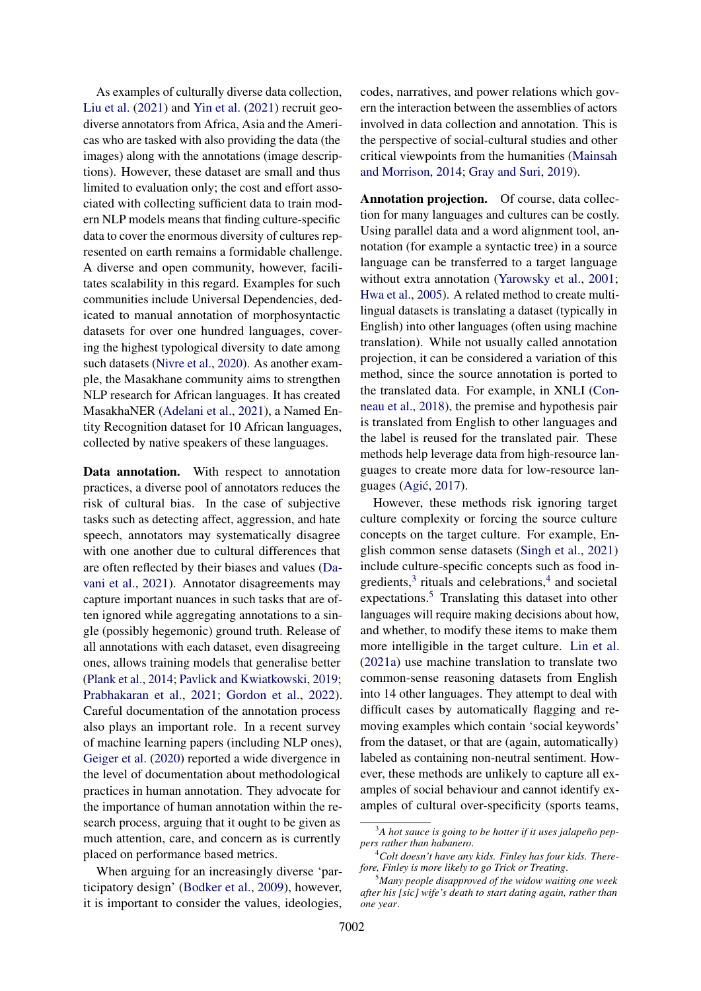As examples of culturally diverse data collection, [Liu et al.](#page-12-5) [\(2021\)](#page-12-5) and [Yin et al.](#page-16-6) [\(2021\)](#page-16-6) recruit geodiverse annotators from Africa, Asia and the Americas who are tasked with also providing the data (the images) along with the annotations (image descriptions). However, these dataset are small and thus limited to evaluation only; the cost and effort associated with collecting sufficient data to train modern NLP models means that finding culture-specific data to cover the enormous diversity of cultures represented on earth remains a formidable challenge. A diverse and open community, however, facilitates scalability in this regard. Examples for such communities include Universal Dependencies, dedicated to manual annotation of morphosyntactic datasets for over one hundred languages, covering the highest typological diversity to date among such datasets [\(Nivre et al.,](#page-13-14) [2020\)](#page-13-14). As another example, the Masakhane community aims to strengthen NLP research for African languages. It has created MasakhaNER [\(Adelani et al.,](#page-8-3) [2021\)](#page-8-3), a Named Entity Recognition dataset for 10 African languages, collected by native speakers of these languages.

Data annotation. With respect to annotation practices, a diverse pool of annotators reduces the risk of cultural bias. In the case of subjective tasks such as detecting affect, aggression, and hate speech, annotators may systematically disagree with one another due to cultural differences that are often reflected by their biases and values [\(Da](#page-10-10)[vani et al.,](#page-10-10) [2021\)](#page-10-10). Annotator disagreements may capture important nuances in such tasks that are often ignored while aggregating annotations to a single (possibly hegemonic) ground truth. Release of all annotations with each dataset, even disagreeing ones, allows training models that generalise better [\(Plank et al.,](#page-14-10) [2014;](#page-14-10) [Pavlick and Kwiatkowski,](#page-13-15) [2019;](#page-13-15) [Prabhakaran et al.,](#page-14-11) [2021;](#page-14-11) [Gordon et al.,](#page-11-15) [2022\)](#page-11-15). Careful documentation of the annotation process also plays an important role. In a recent survey of machine learning papers (including NLP ones), [Geiger et al.](#page-11-16) [\(2020\)](#page-11-16) reported a wide divergence in the level of documentation about methodological practices in human annotation. They advocate for the importance of human annotation within the research process, arguing that it ought to be given as much attention, care, and concern as is currently placed on performance based metrics.

When arguing for an increasingly diverse 'participatory design' [\(Bodker et al.,](#page-9-11) [2009\)](#page-9-11), however, it is important to consider the values, ideologies, codes, narratives, and power relations which govern the interaction between the assemblies of actors involved in data collection and annotation. This is the perspective of social-cultural studies and other critical viewpoints from the humanities [\(Mainsah](#page-13-16) [and Morrison,](#page-13-16) [2014;](#page-13-16) [Gray and Suri,](#page-11-17) [2019\)](#page-11-17).

Annotation projection. Of course, data collection for many languages and cultures can be costly. Using parallel data and a word alignment tool, annotation (for example a syntactic tree) in a source language can be transferred to a target language without extra annotation [\(Yarowsky et al.,](#page-16-7) [2001;](#page-16-7) [Hwa et al.,](#page-11-18) [2005\)](#page-11-18). A related method to create multilingual datasets is translating a dataset (typically in English) into other languages (often using machine translation). While not usually called annotation projection, it can be considered a variation of this method, since the source annotation is ported to the translated data. For example, in XNLI [\(Con](#page-10-11)[neau et al.,](#page-10-11) [2018\)](#page-10-11), the premise and hypothesis pair is translated from English to other languages and the label is reused for the translated pair. These methods help leverage data from high-resource languages to create more data for low-resource lan-guages (Agić, [2017\)](#page-9-12).

However, these methods risk ignoring target culture complexity or forcing the source culture concepts on the target culture. For example, English common sense datasets [\(Singh et al.,](#page-15-13) [2021\)](#page-15-13) include culture-specific concepts such as food ingredients, $3$  rituals and celebrations, $4$  and societal expectations.<sup>[5](#page-5-2)</sup> Translating this dataset into other languages will require making decisions about how, and whether, to modify these items to make them more intelligible in the target culture. [Lin et al.](#page-12-11) [\(2021a\)](#page-12-11) use machine translation to translate two common-sense reasoning datasets from English into 14 other languages. They attempt to deal with difficult cases by automatically flagging and removing examples which contain 'social keywords' from the dataset, or that are (again, automatically) labeled as containing non-neutral sentiment. However, these methods are unlikely to capture all examples of social behaviour and cannot identify examples of cultural over-specificity (sports teams,

<span id="page-5-0"></span><sup>3</sup>*A hot sauce is going to be hotter if it uses jalapeño peppers rather than habanero*.

<span id="page-5-1"></span><sup>4</sup>*Colt doesn't have any kids. Finley has four kids. Therefore, Finley is more likely to go Trick or Treating*.

<span id="page-5-2"></span><sup>5</sup>*Many people disapproved of the widow waiting one week after his [sic] wife's death to start dating again, rather than one year*.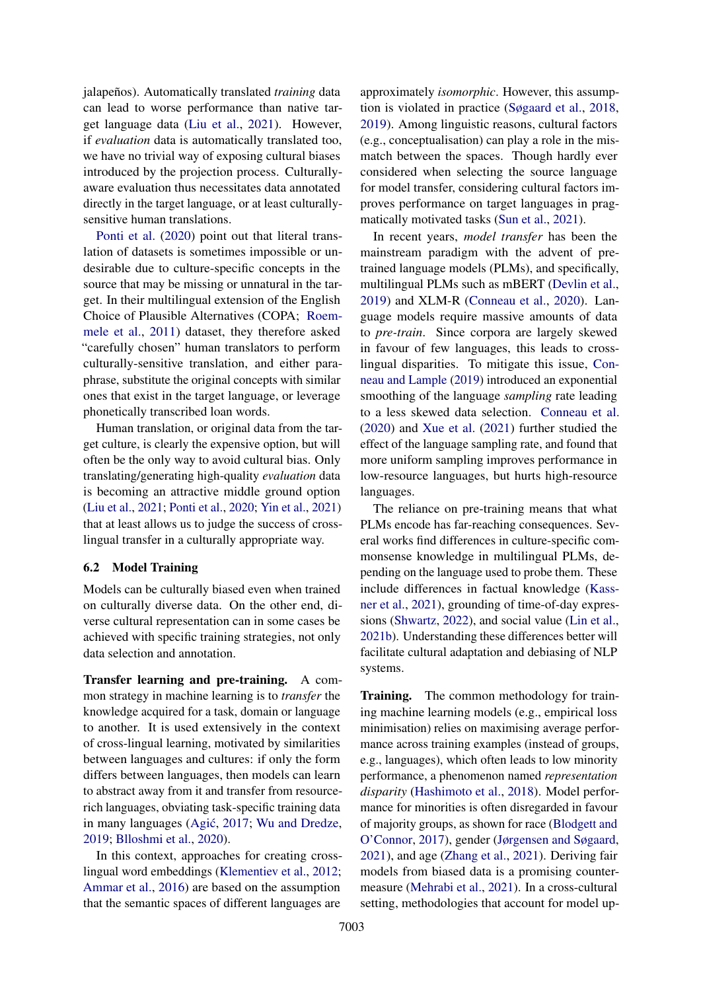jalapeños). Automatically translated *training* data can lead to worse performance than native target language data [\(Liu et al.,](#page-12-5) [2021\)](#page-12-5). However, if *evaluation* data is automatically translated too, we have no trivial way of exposing cultural biases introduced by the projection process. Culturallyaware evaluation thus necessitates data annotated directly in the target language, or at least culturallysensitive human translations.

[Ponti et al.](#page-14-12) [\(2020\)](#page-14-12) point out that literal translation of datasets is sometimes impossible or undesirable due to culture-specific concepts in the source that may be missing or unnatural in the target. In their multilingual extension of the English Choice of Plausible Alternatives (COPA; [Roem](#page-14-13)[mele et al.,](#page-14-13) [2011\)](#page-14-13) dataset, they therefore asked "carefully chosen" human translators to perform culturally-sensitive translation, and either paraphrase, substitute the original concepts with similar ones that exist in the target language, or leverage phonetically transcribed loan words.

Human translation, or original data from the target culture, is clearly the expensive option, but will often be the only way to avoid cultural bias. Only translating/generating high-quality *evaluation* data is becoming an attractive middle ground option [\(Liu et al.,](#page-12-5) [2021;](#page-12-5) [Ponti et al.,](#page-14-12) [2020;](#page-14-12) [Yin et al.,](#page-16-6) [2021\)](#page-16-6) that at least allows us to judge the success of crosslingual transfer in a culturally appropriate way.

#### 6.2 Model Training

Models can be culturally biased even when trained on culturally diverse data. On the other end, diverse cultural representation can in some cases be achieved with specific training strategies, not only data selection and annotation.

Transfer learning and pre-training. A common strategy in machine learning is to *transfer* the knowledge acquired for a task, domain or language to another. It is used extensively in the context of cross-lingual learning, motivated by similarities between languages and cultures: if only the form differs between languages, then models can learn to abstract away from it and transfer from resourcerich languages, obviating task-specific training data in many languages (Agić, [2017;](#page-9-12) [Wu and Dredze,](#page-15-14) [2019;](#page-15-14) [Blloshmi et al.,](#page-9-13) [2020\)](#page-9-13).

In this context, approaches for creating crosslingual word embeddings [\(Klementiev et al.,](#page-12-12) [2012;](#page-12-12) [Ammar et al.,](#page-9-14) [2016\)](#page-9-14) are based on the assumption that the semantic spaces of different languages are

approximately *isomorphic*. However, this assumption is violated in practice [\(Søgaard et al.,](#page-15-15) [2018,](#page-15-15) [2019\)](#page-15-16). Among linguistic reasons, cultural factors (e.g., conceptualisation) can play a role in the mismatch between the spaces. Though hardly ever considered when selecting the source language for model transfer, considering cultural factors improves performance on target languages in pragmatically motivated tasks [\(Sun et al.,](#page-15-17) [2021\)](#page-15-17).

In recent years, *model transfer* has been the mainstream paradigm with the advent of pretrained language models (PLMs), and specifically, multilingual PLMs such as mBERT [\(Devlin et al.,](#page-10-12) [2019\)](#page-10-12) and XLM-R [\(Conneau et al.,](#page-10-13) [2020\)](#page-10-13). Language models require massive amounts of data to *pre-train*. Since corpora are largely skewed in favour of few languages, this leads to crosslingual disparities. To mitigate this issue, [Con](#page-10-14)[neau and Lample](#page-10-14) [\(2019\)](#page-10-14) introduced an exponential smoothing of the language *sampling* rate leading to a less skewed data selection. [Conneau et al.](#page-10-13) [\(2020\)](#page-10-13) and [Xue et al.](#page-16-8) [\(2021\)](#page-16-8) further studied the effect of the language sampling rate, and found that more uniform sampling improves performance in low-resource languages, but hurts high-resource languages.

The reliance on pre-training means that what PLMs encode has far-reaching consequences. Several works find differences in culture-specific commonsense knowledge in multilingual PLMs, depending on the language used to probe them. These include differences in factual knowledge [\(Kass](#page-12-13)[ner et al.,](#page-12-13) [2021\)](#page-12-13), grounding of time-of-day expressions [\(Shwartz,](#page-15-18) [2022\)](#page-15-18), and social value [\(Lin et al.,](#page-12-14) [2021b\)](#page-12-14). Understanding these differences better will facilitate cultural adaptation and debiasing of NLP systems.

Training. The common methodology for training machine learning models (e.g., empirical loss minimisation) relies on maximising average performance across training examples (instead of groups, e.g., languages), which often leads to low minority performance, a phenomenon named *representation disparity* [\(Hashimoto et al.,](#page-11-19) [2018\)](#page-11-19). Model performance for minorities is often disregarded in favour of majority groups, as shown for race [\(Blodgett and](#page-9-15) [O'Connor,](#page-9-15) [2017\)](#page-9-15), gender [\(Jørgensen and Søgaard,](#page-12-9) [2021\)](#page-12-9), and age [\(Zhang et al.,](#page-16-1) [2021\)](#page-16-1). Deriving fair models from biased data is a promising countermeasure [\(Mehrabi et al.,](#page-13-17) [2021\)](#page-13-17). In a cross-cultural setting, methodologies that account for model up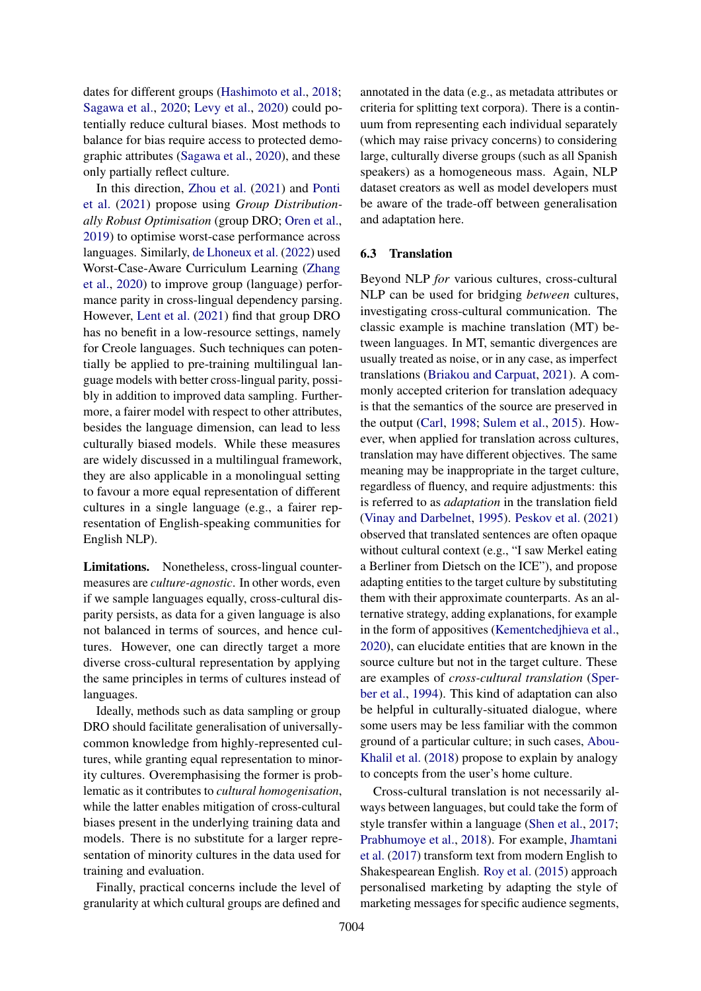dates for different groups [\(Hashimoto et al.,](#page-11-19) [2018;](#page-11-19) [Sagawa et al.,](#page-14-14) [2020;](#page-14-14) [Levy et al.,](#page-12-15) [2020\)](#page-12-15) could potentially reduce cultural biases. Most methods to balance for bias require access to protected demographic attributes [\(Sagawa et al.,](#page-14-14) [2020\)](#page-14-14), and these only partially reflect culture.

In this direction, [Zhou et al.](#page-16-9) [\(2021\)](#page-16-9) and [Ponti](#page-14-15) [et al.](#page-14-15) [\(2021\)](#page-14-15) propose using *Group Distributionally Robust Optimisation* (group DRO; [Oren et al.,](#page-13-18) [2019\)](#page-13-18) to optimise worst-case performance across languages. Similarly, [de Lhoneux et al.](#page-10-15) [\(2022\)](#page-10-15) used Worst-Case-Aware Curriculum Learning [\(Zhang](#page-16-10) [et al.,](#page-16-10) [2020\)](#page-16-10) to improve group (language) performance parity in cross-lingual dependency parsing. However, [Lent et al.](#page-12-16) [\(2021\)](#page-12-16) find that group DRO has no benefit in a low-resource settings, namely for Creole languages. Such techniques can potentially be applied to pre-training multilingual language models with better cross-lingual parity, possibly in addition to improved data sampling. Furthermore, a fairer model with respect to other attributes, besides the language dimension, can lead to less culturally biased models. While these measures are widely discussed in a multilingual framework, they are also applicable in a monolingual setting to favour a more equal representation of different cultures in a single language (e.g., a fairer representation of English-speaking communities for English NLP).

Limitations. Nonetheless, cross-lingual countermeasures are *culture-agnostic*. In other words, even if we sample languages equally, cross-cultural disparity persists, as data for a given language is also not balanced in terms of sources, and hence cultures. However, one can directly target a more diverse cross-cultural representation by applying the same principles in terms of cultures instead of languages.

Ideally, methods such as data sampling or group DRO should facilitate generalisation of universallycommon knowledge from highly-represented cultures, while granting equal representation to minority cultures. Overemphasising the former is problematic as it contributes to *cultural homogenisation*, while the latter enables mitigation of cross-cultural biases present in the underlying training data and models. There is no substitute for a larger representation of minority cultures in the data used for training and evaluation.

Finally, practical concerns include the level of granularity at which cultural groups are defined and annotated in the data (e.g., as metadata attributes or criteria for splitting text corpora). There is a continuum from representing each individual separately (which may raise privacy concerns) to considering large, culturally diverse groups (such as all Spanish speakers) as a homogeneous mass. Again, NLP dataset creators as well as model developers must be aware of the trade-off between generalisation and adaptation here.

### <span id="page-7-0"></span>6.3 Translation

Beyond NLP *for* various cultures, cross-cultural NLP can be used for bridging *between* cultures, investigating cross-cultural communication. The classic example is machine translation (MT) between languages. In MT, semantic divergences are usually treated as noise, or in any case, as imperfect translations [\(Briakou and Carpuat,](#page-10-16) [2021\)](#page-10-16). A commonly accepted criterion for translation adequacy is that the semantics of the source are preserved in the output [\(Carl,](#page-10-17) [1998;](#page-10-17) [Sulem et al.,](#page-15-19) [2015\)](#page-15-19). However, when applied for translation across cultures, translation may have different objectives. The same meaning may be inappropriate in the target culture, regardless of fluency, and require adjustments: this is referred to as *adaptation* in the translation field [\(Vinay and Darbelnet,](#page-15-5) [1995\)](#page-15-5). [Peskov et al.](#page-13-19) [\(2021\)](#page-13-19) observed that translated sentences are often opaque without cultural context (e.g., "I saw Merkel eating a Berliner from Dietsch on the ICE"), and propose adapting entities to the target culture by substituting them with their approximate counterparts. As an alternative strategy, adding explanations, for example in the form of appositives [\(Kementchedjhieva et al.,](#page-12-17) [2020\)](#page-12-17), can elucidate entities that are known in the source culture but not in the target culture. These are examples of *cross-cultural translation* [\(Sper](#page-15-20)[ber et al.,](#page-15-20) [1994\)](#page-15-20). This kind of adaptation can also be helpful in culturally-situated dialogue, where some users may be less familiar with the common ground of a particular culture; in such cases, [Abou-](#page-8-4)[Khalil et al.](#page-8-4) [\(2018\)](#page-8-4) propose to explain by analogy to concepts from the user's home culture.

Cross-cultural translation is not necessarily always between languages, but could take the form of style transfer within a language [\(Shen et al.,](#page-15-21) [2017;](#page-15-21) [Prabhumoye et al.,](#page-14-16) [2018\)](#page-14-16). For example, [Jhamtani](#page-11-20) [et al.](#page-11-20) [\(2017\)](#page-11-20) transform text from modern English to Shakespearean English. [Roy et al.](#page-14-17) [\(2015\)](#page-14-17) approach personalised marketing by adapting the style of marketing messages for specific audience segments,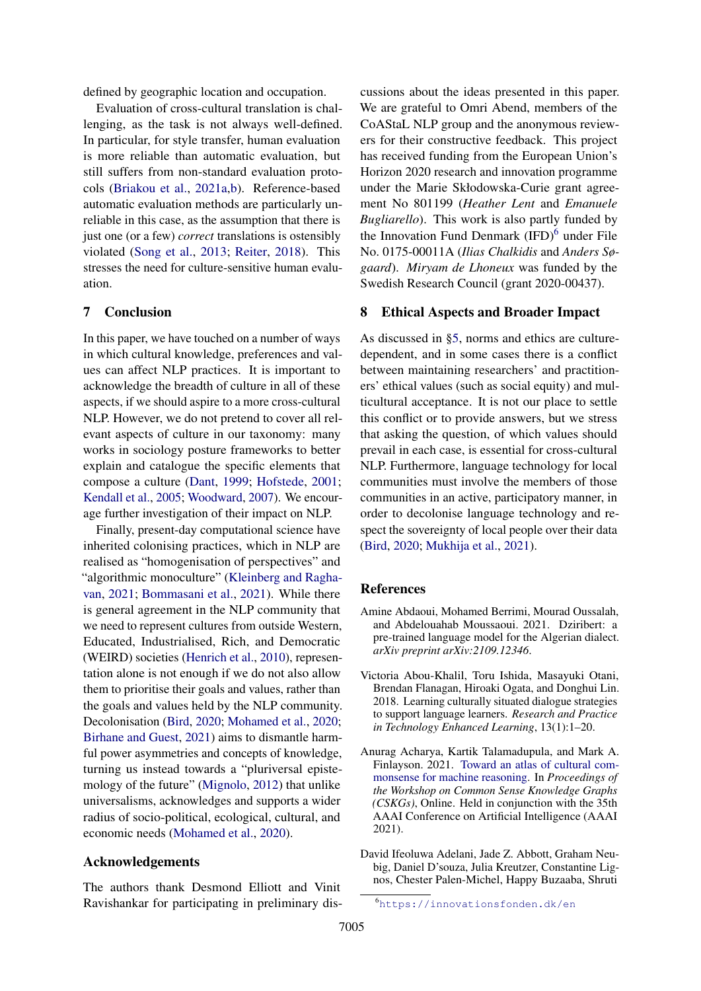defined by geographic location and occupation.

Evaluation of cross-cultural translation is challenging, as the task is not always well-defined. In particular, for style transfer, human evaluation is more reliable than automatic evaluation, but still suffers from non-standard evaluation protocols [\(Briakou et al.,](#page-10-18) [2021a,](#page-10-18)[b\)](#page-10-19). Reference-based automatic evaluation methods are particularly unreliable in this case, as the assumption that there is just one (or a few) *correct* translations is ostensibly violated [\(Song et al.,](#page-15-22) [2013;](#page-15-22) [Reiter,](#page-14-18) [2018\)](#page-14-18). This stresses the need for culture-sensitive human evaluation.

## <span id="page-8-2"></span>7 Conclusion

In this paper, we have touched on a number of ways in which cultural knowledge, preferences and values can affect NLP practices. It is important to acknowledge the breadth of culture in all of these aspects, if we should aspire to a more cross-cultural NLP. However, we do not pretend to cover all relevant aspects of culture in our taxonomy: many works in sociology posture frameworks to better explain and catalogue the specific elements that compose a culture [\(Dant,](#page-10-20) [1999;](#page-10-20) [Hofstede,](#page-11-21) [2001;](#page-11-21) [Kendall et al.,](#page-12-1) [2005;](#page-12-1) [Woodward,](#page-15-23) [2007\)](#page-15-23). We encourage further investigation of their impact on NLP.

Finally, present-day computational science have inherited colonising practices, which in NLP are realised as "homogenisation of perspectives" and "algorithmic monoculture" [\(Kleinberg and Ragha](#page-12-18)[van,](#page-12-18) [2021;](#page-12-18) [Bommasani et al.,](#page-9-16) [2021\)](#page-9-16). While there is general agreement in the NLP community that we need to represent cultures from outside Western, Educated, Industrialised, Rich, and Democratic (WEIRD) societies [\(Henrich et al.,](#page-11-22) [2010\)](#page-11-22), representation alone is not enough if we do not also allow them to prioritise their goals and values, rather than the goals and values held by the NLP community. Decolonisation [\(Bird,](#page-9-6) [2020;](#page-9-6) [Mohamed et al.,](#page-13-13) [2020;](#page-13-13) [Birhane and Guest,](#page-9-17) [2021\)](#page-9-17) aims to dismantle harmful power asymmetries and concepts of knowledge, turning us instead towards a "pluriversal epistemology of the future" [\(Mignolo,](#page-13-20) [2012\)](#page-13-20) that unlike universalisms, acknowledges and supports a wider radius of socio-political, ecological, cultural, and economic needs [\(Mohamed et al.,](#page-13-13) [2020\)](#page-13-13).

## Acknowledgements

The authors thank Desmond Elliott and Vinit Ravishankar for participating in preliminary discussions about the ideas presented in this paper. We are grateful to Omri Abend, members of the CoAStaL NLP group and the anonymous reviewers for their constructive feedback. This project has received funding from the European Union's Horizon 2020 research and innovation programme under the Marie Skłodowska-Curie grant agreement No 801199 (*Heather Lent* and *Emanuele Bugliarello*). This work is also partly funded by the Innovation Fund Denmark  $(IFD)<sup>6</sup>$  $(IFD)<sup>6</sup>$  $(IFD)<sup>6</sup>$  under File No. 0175-00011A (*Ilias Chalkidis* and *Anders Søgaard*). *Miryam de Lhoneux* was funded by the Swedish Research Council (grant 2020-00437).

#### 8 Ethical Aspects and Broader Impact

As discussed in [§5,](#page-3-0) norms and ethics are culturedependent, and in some cases there is a conflict between maintaining researchers' and practitioners' ethical values (such as social equity) and multicultural acceptance. It is not our place to settle this conflict or to provide answers, but we stress that asking the question, of which values should prevail in each case, is essential for cross-cultural NLP. Furthermore, language technology for local communities must involve the members of those communities in an active, participatory manner, in order to decolonise language technology and respect the sovereignty of local people over their data [\(Bird,](#page-9-6) [2020;](#page-9-6) [Mukhija et al.,](#page-13-21) [2021\)](#page-13-21).

#### References

- <span id="page-8-0"></span>Amine Abdaoui, Mohamed Berrimi, Mourad Oussalah, and Abdelouahab Moussaoui. 2021. Dziribert: a pre-trained language model for the Algerian dialect. *arXiv preprint arXiv:2109.12346*.
- <span id="page-8-4"></span>Victoria Abou-Khalil, Toru Ishida, Masayuki Otani, Brendan Flanagan, Hiroaki Ogata, and Donghui Lin. 2018. Learning culturally situated dialogue strategies to support language learners. *Research and Practice in Technology Enhanced Learning*, 13(1):1–20.
- <span id="page-8-1"></span>Anurag Acharya, Kartik Talamadupula, and Mark A. Finlayson. 2021. [Toward an atlas of cultural com](https://usc-isi-i2.github.io/AAAI21workshop/papers/Acharya_CSKGsAAAI-21.pdf)[monsense for machine reasoning.](https://usc-isi-i2.github.io/AAAI21workshop/papers/Acharya_CSKGsAAAI-21.pdf) In *Proceedings of the Workshop on Common Sense Knowledge Graphs (CSKGs)*, Online. Held in conjunction with the 35th AAAI Conference on Artificial Intelligence (AAAI 2021).
- <span id="page-8-3"></span>David Ifeoluwa Adelani, Jade Z. Abbott, Graham Neubig, Daniel D'souza, Julia Kreutzer, Constantine Lignos, Chester Palen-Michel, Happy Buzaaba, Shruti

<span id="page-8-5"></span><sup>6</sup><https://innovationsfonden.dk/en>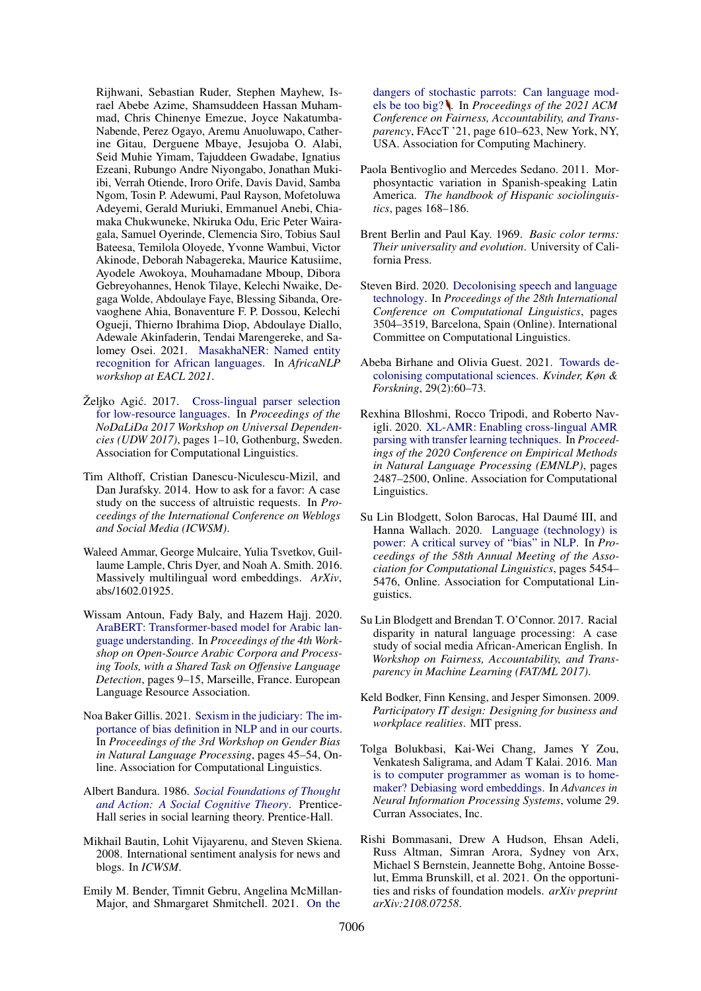Rijhwani, Sebastian Ruder, Stephen Mayhew, Israel Abebe Azime, Shamsuddeen Hassan Muhammad, Chris Chinenye Emezue, Joyce Nakatumba-Nabende, Perez Ogayo, Aremu Anuoluwapo, Catherine Gitau, Derguene Mbaye, Jesujoba O. Alabi, Seid Muhie Yimam, Tajuddeen Gwadabe, Ignatius Ezeani, Rubungo Andre Niyongabo, Jonathan Mukiibi, Verrah Otiende, Iroro Orife, Davis David, Samba Ngom, Tosin P. Adewumi, Paul Rayson, Mofetoluwa Adeyemi, Gerald Muriuki, Emmanuel Anebi, Chiamaka Chukwuneke, Nkiruka Odu, Eric Peter Wairagala, Samuel Oyerinde, Clemencia Siro, Tobius Saul Bateesa, Temilola Oloyede, Yvonne Wambui, Victor Akinode, Deborah Nabagereka, Maurice Katusiime, Ayodele Awokoya, Mouhamadane Mboup, Dibora Gebreyohannes, Henok Tilaye, Kelechi Nwaike, Degaga Wolde, Abdoulaye Faye, Blessing Sibanda, Orevaoghene Ahia, Bonaventure F. P. Dossou, Kelechi Ogueji, Thierno Ibrahima Diop, Abdoulaye Diallo, Adewale Akinfaderin, Tendai Marengereke, and Salomey Osei. 2021. [MasakhaNER: Named entity](http://arxiv.org/abs/2103.11811) [recognition for African languages.](http://arxiv.org/abs/2103.11811) In *AfricaNLP workshop at EACL 2021*.

- <span id="page-9-12"></span>Željko Agić. 2017. [Cross-lingual parser selection](https://aclanthology.org/W17-0401) [for low-resource languages.](https://aclanthology.org/W17-0401) In *Proceedings of the NoDaLiDa 2017 Workshop on Universal Dependencies (UDW 2017)*, pages 1–10, Gothenburg, Sweden. Association for Computational Linguistics.
- <span id="page-9-4"></span>Tim Althoff, Cristian Danescu-Niculescu-Mizil, and Dan Jurafsky. 2014. How to ask for a favor: A case study on the success of altruistic requests. In *Proceedings of the International Conference on Weblogs and Social Media (ICWSM)*.
- <span id="page-9-14"></span>Waleed Ammar, George Mulcaire, Yulia Tsvetkov, Guillaume Lample, Chris Dyer, and Noah A. Smith. 2016. Massively multilingual word embeddings. *ArXiv*, abs/1602.01925.
- <span id="page-9-1"></span>Wissam Antoun, Fady Baly, and Hazem Hajj. 2020. [AraBERT: Transformer-based model for Arabic lan](https://aclanthology.org/2020.osact-1.2)[guage understanding.](https://aclanthology.org/2020.osact-1.2) In *Proceedings of the 4th Workshop on Open-Source Arabic Corpora and Processing Tools, with a Shared Task on Offensive Language Detection*, pages 9–15, Marseille, France. European Language Resource Association.
- <span id="page-9-10"></span>Noa Baker Gillis. 2021. [Sexism in the judiciary: The im](https://doi.org/10.18653/v1/2021.gebnlp-1.6)[portance of bias definition in NLP and in our courts.](https://doi.org/10.18653/v1/2021.gebnlp-1.6) In *Proceedings of the 3rd Workshop on Gender Bias in Natural Language Processing*, pages 45–54, Online. Association for Computational Linguistics.
- <span id="page-9-5"></span>Albert Bandura. 1986. *[Social Foundations of Thought](https://books.google.com.do/books?id=HJhqAAAAMAAJ) [and Action: A Social Cognitive Theory](https://books.google.com.do/books?id=HJhqAAAAMAAJ)*. Prentice-Hall series in social learning theory. Prentice-Hall.
- <span id="page-9-2"></span>Mikhail Bautin, Lohit Vijayarenu, and Steven Skiena. 2008. International sentiment analysis for news and blogs. In *ICWSM*.
- <span id="page-9-9"></span>Emily M. Bender, Timnit Gebru, Angelina McMillan-Major, and Shmargaret Shmitchell. 2021. [On the](https://doi.org/10.1145/3442188.3445922)

[dangers of stochastic parrots: Can language mod](https://doi.org/10.1145/3442188.3445922)[els be too big?](https://doi.org/10.1145/3442188.3445922) . In *Proceedings of the 2021 ACM Conference on Fairness, Accountability, and Transparency*, FAccT '21, page 610–623, New York, NY, USA. Association for Computing Machinery.

- <span id="page-9-0"></span>Paola Bentivoglio and Mercedes Sedano. 2011. Morphosyntactic variation in Spanish-speaking Latin America. *The handbook of Hispanic sociolinguistics*, pages 168–186.
- <span id="page-9-3"></span>Brent Berlin and Paul Kay. 1969. *Basic color terms: Their universality and evolution*. University of California Press.
- <span id="page-9-6"></span>Steven Bird. 2020. [Decolonising speech and language](https://doi.org/10.18653/v1/2020.coling-main.313) [technology.](https://doi.org/10.18653/v1/2020.coling-main.313) In *Proceedings of the 28th International Conference on Computational Linguistics*, pages 3504–3519, Barcelona, Spain (Online). International Committee on Computational Linguistics.
- <span id="page-9-17"></span>Abeba Birhane and Olivia Guest. 2021. [Towards de](https://arxiv.org/abs/2009.14258)[colonising computational sciences.](https://arxiv.org/abs/2009.14258) *Kvinder, Køn & Forskning*, 29(2):60–73.
- <span id="page-9-13"></span>Rexhina Blloshmi, Rocco Tripodi, and Roberto Navigli. 2020. [XL-AMR: Enabling cross-lingual AMR](https://doi.org/10.18653/v1/2020.emnlp-main.195) [parsing with transfer learning techniques.](https://doi.org/10.18653/v1/2020.emnlp-main.195) In *Proceedings of the 2020 Conference on Empirical Methods in Natural Language Processing (EMNLP)*, pages 2487–2500, Online. Association for Computational Linguistics.
- <span id="page-9-8"></span>Su Lin Blodgett, Solon Barocas, Hal Daumé III, and Hanna Wallach. 2020. [Language \(technology\) is](https://doi.org/10.18653/v1/2020.acl-main.485) [power: A critical survey of "bias" in NLP.](https://doi.org/10.18653/v1/2020.acl-main.485) In *Proceedings of the 58th Annual Meeting of the Association for Computational Linguistics*, pages 5454– 5476, Online. Association for Computational Linguistics.
- <span id="page-9-15"></span>Su Lin Blodgett and Brendan T. O'Connor. 2017. Racial disparity in natural language processing: A case study of social media African-American English. In *Workshop on Fairness, Accountability, and Transparency in Machine Learning (FAT/ML 2017)*.
- <span id="page-9-11"></span>Keld Bodker, Finn Kensing, and Jesper Simonsen. 2009. *Participatory IT design: Designing for business and workplace realities*. MIT press.
- <span id="page-9-7"></span>Tolga Bolukbasi, Kai-Wei Chang, James Y Zou, Venkatesh Saligrama, and Adam T Kalai. 2016. [Man](https://proceedings.neurips.cc/paper/2016/file/a486cd07e4ac3d270571622f4f316ec5-Paper.pdf) [is to computer programmer as woman is to home](https://proceedings.neurips.cc/paper/2016/file/a486cd07e4ac3d270571622f4f316ec5-Paper.pdf)[maker? Debiasing word embeddings.](https://proceedings.neurips.cc/paper/2016/file/a486cd07e4ac3d270571622f4f316ec5-Paper.pdf) In *Advances in Neural Information Processing Systems*, volume 29. Curran Associates, Inc.
- <span id="page-9-16"></span>Rishi Bommasani, Drew A Hudson, Ehsan Adeli, Russ Altman, Simran Arora, Sydney von Arx, Michael S Bernstein, Jeannette Bohg, Antoine Bosselut, Emma Brunskill, et al. 2021. On the opportunities and risks of foundation models. *arXiv preprint arXiv:2108.07258*.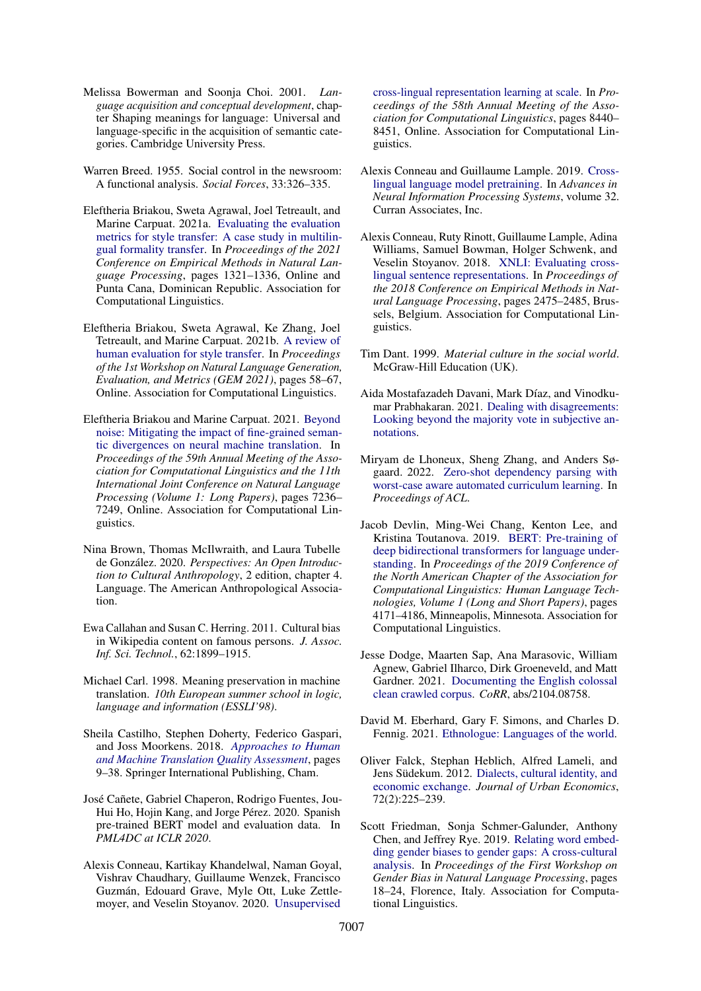- <span id="page-10-4"></span>Melissa Bowerman and Soonja Choi. 2001. *Language acquisition and conceptual development*, chapter Shaping meanings for language: Universal and language-specific in the acquisition of semantic categories. Cambridge University Press.
- <span id="page-10-5"></span>Warren Breed. 1955. Social control in the newsroom: A functional analysis. *Social Forces*, 33:326–335.
- <span id="page-10-18"></span>Eleftheria Briakou, Sweta Agrawal, Joel Tetreault, and Marine Carpuat. 2021a. [Evaluating the evaluation](https://aclanthology.org/2021.emnlp-main.100) [metrics for style transfer: A case study in multilin](https://aclanthology.org/2021.emnlp-main.100)[gual formality transfer.](https://aclanthology.org/2021.emnlp-main.100) In *Proceedings of the 2021 Conference on Empirical Methods in Natural Language Processing*, pages 1321–1336, Online and Punta Cana, Dominican Republic. Association for Computational Linguistics.
- <span id="page-10-19"></span>Eleftheria Briakou, Sweta Agrawal, Ke Zhang, Joel Tetreault, and Marine Carpuat. 2021b. [A review of](https://doi.org/10.18653/v1/2021.gem-1.6) [human evaluation for style transfer.](https://doi.org/10.18653/v1/2021.gem-1.6) In *Proceedings of the 1st Workshop on Natural Language Generation, Evaluation, and Metrics (GEM 2021)*, pages 58–67, Online. Association for Computational Linguistics.
- <span id="page-10-16"></span>Eleftheria Briakou and Marine Carpuat. 2021. [Beyond](https://doi.org/10.18653/v1/2021.acl-long.562) [noise: Mitigating the impact of fine-grained seman](https://doi.org/10.18653/v1/2021.acl-long.562)[tic divergences on neural machine translation.](https://doi.org/10.18653/v1/2021.acl-long.562) In *Proceedings of the 59th Annual Meeting of the Association for Computational Linguistics and the 11th International Joint Conference on Natural Language Processing (Volume 1: Long Papers)*, pages 7236– 7249, Online. Association for Computational Linguistics.
- <span id="page-10-1"></span>Nina Brown, Thomas McIlwraith, and Laura Tubelle de González. 2020. *Perspectives: An Open Introduction to Cultural Anthropology*, 2 edition, chapter 4. Language. The American Anthropological Association.
- <span id="page-10-9"></span>Ewa Callahan and Susan C. Herring. 2011. Cultural bias in Wikipedia content on famous persons. *J. Assoc. Inf. Sci. Technol.*, 62:1899–1915.
- <span id="page-10-17"></span>Michael Carl. 1998. Meaning preservation in machine translation. *10th European summer school in logic, language and information (ESSLI'98)*.
- <span id="page-10-6"></span>Sheila Castilho, Stephen Doherty, Federico Gaspari, and Joss Moorkens. 2018. *[Approaches to Human](https://doi.org/10.1007/978-3-319-91241-7_2) [and Machine Translation Quality Assessment](https://doi.org/10.1007/978-3-319-91241-7_2)*, pages 9–38. Springer International Publishing, Cham.
- <span id="page-10-3"></span>José Cañete, Gabriel Chaperon, Rodrigo Fuentes, Jou-Hui Ho, Hojin Kang, and Jorge Pérez. 2020. Spanish pre-trained BERT model and evaluation data. In *PML4DC at ICLR 2020*.
- <span id="page-10-13"></span>Alexis Conneau, Kartikay Khandelwal, Naman Goyal, Vishrav Chaudhary, Guillaume Wenzek, Francisco Guzmán, Edouard Grave, Myle Ott, Luke Zettlemoyer, and Veselin Stoyanov. 2020. [Unsupervised](https://doi.org/10.18653/v1/2020.acl-main.747)

[cross-lingual representation learning at scale.](https://doi.org/10.18653/v1/2020.acl-main.747) In *Proceedings of the 58th Annual Meeting of the Association for Computational Linguistics*, pages 8440– 8451, Online. Association for Computational Linguistics.

- <span id="page-10-14"></span>Alexis Conneau and Guillaume Lample. 2019. [Cross](https://proceedings.neurips.cc/paper/2019/file/c04c19c2c2474dbf5f7ac4372c5b9af1-Paper.pdf)[lingual language model pretraining.](https://proceedings.neurips.cc/paper/2019/file/c04c19c2c2474dbf5f7ac4372c5b9af1-Paper.pdf) In *Advances in Neural Information Processing Systems*, volume 32. Curran Associates, Inc.
- <span id="page-10-11"></span>Alexis Conneau, Ruty Rinott, Guillaume Lample, Adina Williams, Samuel Bowman, Holger Schwenk, and Veselin Stoyanov. 2018. [XNLI: Evaluating cross](https://doi.org/10.18653/v1/D18-1269)[lingual sentence representations.](https://doi.org/10.18653/v1/D18-1269) In *Proceedings of the 2018 Conference on Empirical Methods in Natural Language Processing*, pages 2475–2485, Brussels, Belgium. Association for Computational Linguistics.
- <span id="page-10-20"></span>Tim Dant. 1999. *Material culture in the social world*. McGraw-Hill Education (UK).
- <span id="page-10-10"></span>Aida Mostafazadeh Davani, Mark Díaz, and Vinodkumar Prabhakaran. 2021. [Dealing with disagreements:](http://arxiv.org/abs/2110.05719) [Looking beyond the majority vote in subjective an](http://arxiv.org/abs/2110.05719)[notations.](http://arxiv.org/abs/2110.05719)
- <span id="page-10-15"></span>Miryam de Lhoneux, Sheng Zhang, and Anders Søgaard. 2022. [Zero-shot dependency parsing with](https://openreview.net/pdf?id=h0lckggpp4X) [worst-case aware automated curriculum learning.](https://openreview.net/pdf?id=h0lckggpp4X) In *Proceedings of ACL*.
- <span id="page-10-12"></span>Jacob Devlin, Ming-Wei Chang, Kenton Lee, and Kristina Toutanova. 2019. [BERT: Pre-training of](https://doi.org/10.18653/v1/N19-1423) [deep bidirectional transformers for language under](https://doi.org/10.18653/v1/N19-1423)[standing.](https://doi.org/10.18653/v1/N19-1423) In *Proceedings of the 2019 Conference of the North American Chapter of the Association for Computational Linguistics: Human Language Technologies, Volume 1 (Long and Short Papers)*, pages 4171–4186, Minneapolis, Minnesota. Association for Computational Linguistics.
- <span id="page-10-8"></span>Jesse Dodge, Maarten Sap, Ana Marasovic, William Agnew, Gabriel Ilharco, Dirk Groeneveld, and Matt Gardner. 2021. [Documenting the English colossal](http://arxiv.org/abs/2104.08758) [clean crawled corpus.](http://arxiv.org/abs/2104.08758) *CoRR*, abs/2104.08758.
- <span id="page-10-0"></span>David M. Eberhard, Gary F. Simons, and Charles D. Fennig. 2021. [Ethnologue: Languages of the world.](https://www.ethnologue.com/about/problem-language-identification)
- <span id="page-10-2"></span>Oliver Falck, Stephan Heblich, Alfred Lameli, and Jens Südekum. 2012. [Dialects, cultural identity, and](https://doi.org/https://doi.org/10.1016/j.jue.2012.05.007) [economic exchange.](https://doi.org/https://doi.org/10.1016/j.jue.2012.05.007) *Journal of Urban Economics*, 72(2):225–239.
- <span id="page-10-7"></span>Scott Friedman, Sonja Schmer-Galunder, Anthony Chen, and Jeffrey Rye. 2019. [Relating word embed](https://doi.org/10.18653/v1/W19-3803)[ding gender biases to gender gaps: A cross-cultural](https://doi.org/10.18653/v1/W19-3803) [analysis.](https://doi.org/10.18653/v1/W19-3803) In *Proceedings of the First Workshop on Gender Bias in Natural Language Processing*, pages 18–24, Florence, Italy. Association for Computational Linguistics.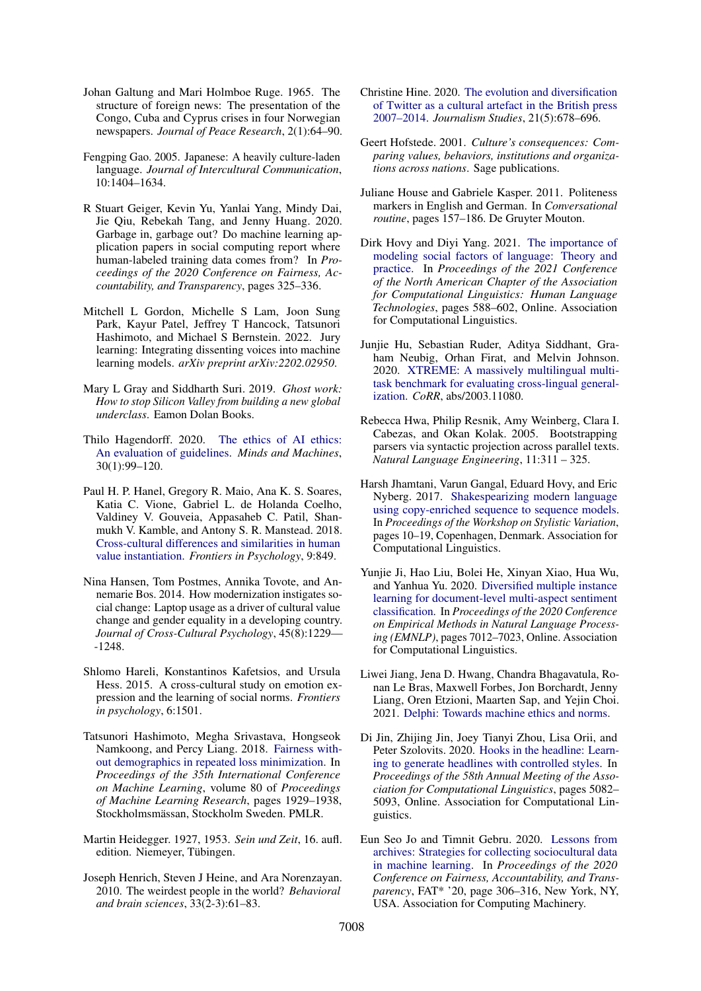- <span id="page-11-8"></span>Johan Galtung and Mari Holmboe Ruge. 1965. The structure of foreign news: The presentation of the Congo, Cuba and Cyprus crises in four Norwegian newspapers. *Journal of Peace Research*, 2(1):64–90.
- <span id="page-11-1"></span>Fengping Gao. 2005. Japanese: A heavily culture-laden language. *Journal of Intercultural Communication*, 10:1404–1634.
- <span id="page-11-16"></span>R Stuart Geiger, Kevin Yu, Yanlai Yang, Mindy Dai, Jie Qiu, Rebekah Tang, and Jenny Huang. 2020. Garbage in, garbage out? Do machine learning application papers in social computing report where human-labeled training data comes from? In *Proceedings of the 2020 Conference on Fairness, Accountability, and Transparency*, pages 325–336.
- <span id="page-11-15"></span>Mitchell L Gordon, Michelle S Lam, Joon Sung Park, Kayur Patel, Jeffrey T Hancock, Tatsunori Hashimoto, and Michael S Bernstein. 2022. Jury learning: Integrating dissenting voices into machine learning models. *arXiv preprint arXiv:2202.02950*.
- <span id="page-11-17"></span>Mary L Gray and Siddharth Suri. 2019. *Ghost work: How to stop Silicon Valley from building a new global underclass*. Eamon Dolan Books.
- <span id="page-11-12"></span>Thilo Hagendorff. 2020. [The ethics of AI ethics:](https://doi.org/10.1007/s11023-020-09517-8) [An evaluation of guidelines.](https://doi.org/10.1007/s11023-020-09517-8) *Minds and Machines*, 30(1):99–120.
- <span id="page-11-11"></span>Paul H. P. Hanel, Gregory R. Maio, Ana K. S. Soares, Katia C. Vione, Gabriel L. de Holanda Coelho, Valdiney V. Gouveia, Appasaheb C. Patil, Shanmukh V. Kamble, and Antony S. R. Manstead. 2018. [Cross-cultural differences and similarities in human](https://doi.org/10.3389/fpsyg.2018.00849) [value instantiation.](https://doi.org/10.3389/fpsyg.2018.00849) *Frontiers in Psychology*, 9:849.
- <span id="page-11-6"></span>Nina Hansen, Tom Postmes, Annika Tovote, and Annemarie Bos. 2014. How modernization instigates social change: Laptop usage as a driver of cultural value change and gender equality in a developing country. *Journal of Cross-Cultural Psychology*, 45(8):1229— -1248.
- <span id="page-11-3"></span>Shlomo Hareli, Konstantinos Kafetsios, and Ursula Hess. 2015. A cross-cultural study on emotion expression and the learning of social norms. *Frontiers in psychology*, 6:1501.
- <span id="page-11-19"></span>Tatsunori Hashimoto, Megha Srivastava, Hongseok Namkoong, and Percy Liang. 2018. [Fairness with](http://proceedings.mlr.press/v80/hashimoto18a.html)[out demographics in repeated loss minimization.](http://proceedings.mlr.press/v80/hashimoto18a.html) In *Proceedings of the 35th International Conference on Machine Learning*, volume 80 of *Proceedings of Machine Learning Research*, pages 1929–1938, Stockholmsmässan, Stockholm Sweden. PMLR.
- <span id="page-11-7"></span>Martin Heidegger. 1927, 1953. *Sein und Zeit*, 16. aufl. edition. Niemeyer, Tübingen.
- <span id="page-11-22"></span>Joseph Henrich, Steven J Heine, and Ara Norenzayan. 2010. The weirdest people in the world? *Behavioral and brain sciences*, 33(2-3):61–83.
- <span id="page-11-5"></span>Christine Hine. 2020. [The evolution and diversification](https://doi.org/10.1080/1461670X.2020.1719369) [of Twitter as a cultural artefact in the British press](https://doi.org/10.1080/1461670X.2020.1719369) [2007–2014.](https://doi.org/10.1080/1461670X.2020.1719369) *Journalism Studies*, 21(5):678–696.
- <span id="page-11-21"></span>Geert Hofstede. 2001. *Culture's consequences: Comparing values, behaviors, institutions and organizations across nations*. Sage publications.
- <span id="page-11-2"></span>Juliane House and Gabriele Kasper. 2011. Politeness markers in English and German. In *Conversational routine*, pages 157–186. De Gruyter Mouton.
- <span id="page-11-0"></span>Dirk Hovy and Diyi Yang. 2021. [The importance of](https://doi.org/10.18653/v1/2021.naacl-main.49) [modeling social factors of language: Theory and](https://doi.org/10.18653/v1/2021.naacl-main.49) [practice.](https://doi.org/10.18653/v1/2021.naacl-main.49) In *Proceedings of the 2021 Conference of the North American Chapter of the Association for Computational Linguistics: Human Language Technologies*, pages 588–602, Online. Association for Computational Linguistics.
- <span id="page-11-13"></span>Junjie Hu, Sebastian Ruder, Aditya Siddhant, Graham Neubig, Orhan Firat, and Melvin Johnson. 2020. [XTREME: A massively multilingual multi](http://arxiv.org/abs/2003.11080)[task benchmark for evaluating cross-lingual general](http://arxiv.org/abs/2003.11080)[ization.](http://arxiv.org/abs/2003.11080) *CoRR*, abs/2003.11080.
- <span id="page-11-18"></span>Rebecca Hwa, Philip Resnik, Amy Weinberg, Clara I. Cabezas, and Okan Kolak. 2005. Bootstrapping parsers via syntactic projection across parallel texts. *Natural Language Engineering*, 11:311 – 325.
- <span id="page-11-20"></span>Harsh Jhamtani, Varun Gangal, Eduard Hovy, and Eric Nyberg. 2017. [Shakespearizing modern language](https://doi.org/10.18653/v1/W17-4902) [using copy-enriched sequence to sequence models.](https://doi.org/10.18653/v1/W17-4902) In *Proceedings of the Workshop on Stylistic Variation*, pages 10–19, Copenhagen, Denmark. Association for Computational Linguistics.
- <span id="page-11-4"></span>Yunjie Ji, Hao Liu, Bolei He, Xinyan Xiao, Hua Wu, and Yanhua Yu. 2020. [Diversified multiple instance](https://doi.org/10.18653/v1/2020.emnlp-main.570) [learning for document-level multi-aspect sentiment](https://doi.org/10.18653/v1/2020.emnlp-main.570) [classification.](https://doi.org/10.18653/v1/2020.emnlp-main.570) In *Proceedings of the 2020 Conference on Empirical Methods in Natural Language Processing (EMNLP)*, pages 7012–7023, Online. Association for Computational Linguistics.
- <span id="page-11-10"></span>Liwei Jiang, Jena D. Hwang, Chandra Bhagavatula, Ronan Le Bras, Maxwell Forbes, Jon Borchardt, Jenny Liang, Oren Etzioni, Maarten Sap, and Yejin Choi. 2021. [Delphi: Towards machine ethics and norms.](http://arxiv.org/abs/2110.07574)
- <span id="page-11-9"></span>Di Jin, Zhijing Jin, Joey Tianyi Zhou, Lisa Orii, and Peter Szolovits. 2020. [Hooks in the headline: Learn](https://doi.org/10.18653/v1/2020.acl-main.456)[ing to generate headlines with controlled styles.](https://doi.org/10.18653/v1/2020.acl-main.456) In *Proceedings of the 58th Annual Meeting of the Association for Computational Linguistics*, pages 5082– 5093, Online. Association for Computational Linguistics.
- <span id="page-11-14"></span>Eun Seo Jo and Timnit Gebru. 2020. [Lessons from](https://doi.org/10.1145/3351095.3372829) [archives: Strategies for collecting sociocultural data](https://doi.org/10.1145/3351095.3372829) [in machine learning.](https://doi.org/10.1145/3351095.3372829) In *Proceedings of the 2020 Conference on Fairness, Accountability, and Transparency*, FAT\* '20, page 306–316, New York, NY, USA. Association for Computing Machinery.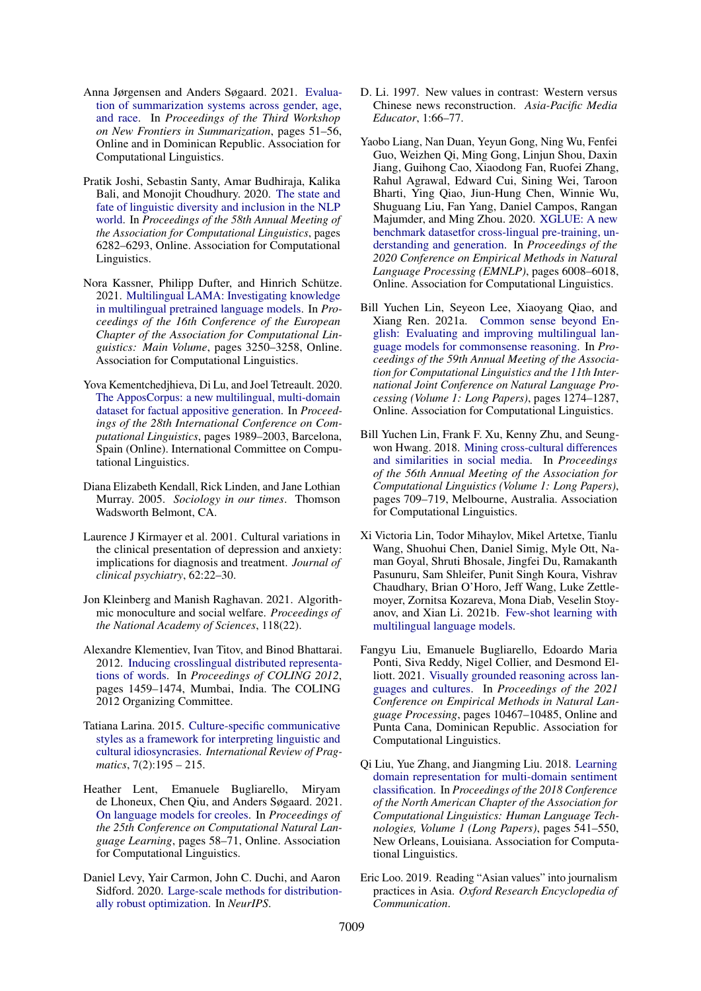- <span id="page-12-9"></span>Anna Jørgensen and Anders Søgaard. 2021. [Evalua](https://aclanthology.org/2021.newsum-1.6)[tion of summarization systems across gender, age,](https://aclanthology.org/2021.newsum-1.6) [and race.](https://aclanthology.org/2021.newsum-1.6) In *Proceedings of the Third Workshop on New Frontiers in Summarization*, pages 51–56, Online and in Dominican Republic. Association for Computational Linguistics.
- <span id="page-12-0"></span>Pratik Joshi, Sebastin Santy, Amar Budhiraja, Kalika Bali, and Monojit Choudhury. 2020. [The state and](https://doi.org/10.18653/v1/2020.acl-main.560) [fate of linguistic diversity and inclusion in the NLP](https://doi.org/10.18653/v1/2020.acl-main.560) [world.](https://doi.org/10.18653/v1/2020.acl-main.560) In *Proceedings of the 58th Annual Meeting of the Association for Computational Linguistics*, pages 6282–6293, Online. Association for Computational Linguistics.
- <span id="page-12-13"></span>Nora Kassner, Philipp Dufter, and Hinrich Schütze. 2021. [Multilingual LAMA: Investigating knowledge](https://doi.org/10.18653/v1/2021.eacl-main.284) [in multilingual pretrained language models.](https://doi.org/10.18653/v1/2021.eacl-main.284) In *Proceedings of the 16th Conference of the European Chapter of the Association for Computational Linguistics: Main Volume*, pages 3250–3258, Online. Association for Computational Linguistics.
- <span id="page-12-17"></span>Yova Kementchedjhieva, Di Lu, and Joel Tetreault. 2020. [The ApposCorpus: a new multilingual, multi-domain](https://doi.org/10.18653/v1/2020.coling-main.180) [dataset for factual appositive generation.](https://doi.org/10.18653/v1/2020.coling-main.180) In *Proceedings of the 28th International Conference on Computational Linguistics*, pages 1989–2003, Barcelona, Spain (Online). International Committee on Computational Linguistics.
- <span id="page-12-1"></span>Diana Elizabeth Kendall, Rick Linden, and Jane Lothian Murray. 2005. *Sociology in our times*. Thomson Wadsworth Belmont, CA.
- <span id="page-12-4"></span>Laurence J Kirmayer et al. 2001. Cultural variations in the clinical presentation of depression and anxiety: implications for diagnosis and treatment. *Journal of clinical psychiatry*, 62:22–30.
- <span id="page-12-18"></span>Jon Kleinberg and Manish Raghavan. 2021. Algorithmic monoculture and social welfare. *Proceedings of the National Academy of Sciences*, 118(22).
- <span id="page-12-12"></span>Alexandre Klementiev, Ivan Titov, and Binod Bhattarai. 2012. [Inducing crosslingual distributed representa](https://aclanthology.org/C12-1089)[tions of words.](https://aclanthology.org/C12-1089) In *Proceedings of COLING 2012*, pages 1459–1474, Mumbai, India. The COLING 2012 Organizing Committee.
- <span id="page-12-3"></span>Tatiana Larina. 2015. [Culture-specific communicative](https://doi.org/https://doi.org/10.1163/18773109-00702003) [styles as a framework for interpreting linguistic and](https://doi.org/https://doi.org/10.1163/18773109-00702003) [cultural idiosyncrasies.](https://doi.org/https://doi.org/10.1163/18773109-00702003) *International Review of Pragmatics*, 7(2):195 – 215.
- <span id="page-12-16"></span>Heather Lent, Emanuele Bugliarello, Miryam de Lhoneux, Chen Qiu, and Anders Søgaard. 2021. [On language models for creoles.](https://aclanthology.org/2021.conll-1.5) In *Proceedings of the 25th Conference on Computational Natural Language Learning*, pages 58–71, Online. Association for Computational Linguistics.
- <span id="page-12-15"></span>Daniel Levy, Yair Carmon, John C. Duchi, and Aaron Sidford. 2020. [Large-scale methods for distribution](https://proceedings.neurips.cc/paper/2020/hash/64986d86a17424eeac96b08a6d519059-Abstract.html)[ally robust optimization.](https://proceedings.neurips.cc/paper/2020/hash/64986d86a17424eeac96b08a6d519059-Abstract.html) In *NeurIPS*.
- <span id="page-12-7"></span>D. Li. 1997. New values in contrast: Western versus Chinese news reconstruction. *Asia-Pacific Media Educator*, 1:66–77.
- <span id="page-12-10"></span>Yaobo Liang, Nan Duan, Yeyun Gong, Ning Wu, Fenfei Guo, Weizhen Qi, Ming Gong, Linjun Shou, Daxin Jiang, Guihong Cao, Xiaodong Fan, Ruofei Zhang, Rahul Agrawal, Edward Cui, Sining Wei, Taroon Bharti, Ying Qiao, Jiun-Hung Chen, Winnie Wu, Shuguang Liu, Fan Yang, Daniel Campos, Rangan Majumder, and Ming Zhou. 2020. [XGLUE: A new](https://doi.org/10.18653/v1/2020.emnlp-main.484) [benchmark datasetfor cross-lingual pre-training, un](https://doi.org/10.18653/v1/2020.emnlp-main.484)[derstanding and generation.](https://doi.org/10.18653/v1/2020.emnlp-main.484) In *Proceedings of the 2020 Conference on Empirical Methods in Natural Language Processing (EMNLP)*, pages 6008–6018, Online. Association for Computational Linguistics.
- <span id="page-12-11"></span>Bill Yuchen Lin, Seyeon Lee, Xiaoyang Qiao, and Xiang Ren. 2021a. [Common sense beyond En](https://doi.org/10.18653/v1/2021.acl-long.102)[glish: Evaluating and improving multilingual lan](https://doi.org/10.18653/v1/2021.acl-long.102)[guage models for commonsense reasoning.](https://doi.org/10.18653/v1/2021.acl-long.102) In *Proceedings of the 59th Annual Meeting of the Association for Computational Linguistics and the 11th International Joint Conference on Natural Language Processing (Volume 1: Long Papers)*, pages 1274–1287, Online. Association for Computational Linguistics.
- <span id="page-12-2"></span>Bill Yuchen Lin, Frank F. Xu, Kenny Zhu, and Seungwon Hwang. 2018. [Mining cross-cultural differences](https://doi.org/10.18653/v1/P18-1066) [and similarities in social media.](https://doi.org/10.18653/v1/P18-1066) In *Proceedings of the 56th Annual Meeting of the Association for Computational Linguistics (Volume 1: Long Papers)*, pages 709–719, Melbourne, Australia. Association for Computational Linguistics.
- <span id="page-12-14"></span>Xi Victoria Lin, Todor Mihaylov, Mikel Artetxe, Tianlu Wang, Shuohui Chen, Daniel Simig, Myle Ott, Naman Goyal, Shruti Bhosale, Jingfei Du, Ramakanth Pasunuru, Sam Shleifer, Punit Singh Koura, Vishrav Chaudhary, Brian O'Horo, Jeff Wang, Luke Zettlemoyer, Zornitsa Kozareva, Mona Diab, Veselin Stoyanov, and Xian Li. 2021b. [Few-shot learning with](http://arxiv.org/abs/2112.10668) [multilingual language models.](http://arxiv.org/abs/2112.10668)
- <span id="page-12-5"></span>Fangyu Liu, Emanuele Bugliarello, Edoardo Maria Ponti, Siva Reddy, Nigel Collier, and Desmond Elliott. 2021. [Visually grounded reasoning across lan](https://aclanthology.org/2021.emnlp-main.818)[guages and cultures.](https://aclanthology.org/2021.emnlp-main.818) In *Proceedings of the 2021 Conference on Empirical Methods in Natural Language Processing*, pages 10467–10485, Online and Punta Cana, Dominican Republic. Association for Computational Linguistics.
- <span id="page-12-6"></span>Qi Liu, Yue Zhang, and Jiangming Liu. 2018. [Learning](https://doi.org/10.18653/v1/N18-1050) [domain representation for multi-domain sentiment](https://doi.org/10.18653/v1/N18-1050) [classification.](https://doi.org/10.18653/v1/N18-1050) In *Proceedings of the 2018 Conference of the North American Chapter of the Association for Computational Linguistics: Human Language Technologies, Volume 1 (Long Papers)*, pages 541–550, New Orleans, Louisiana. Association for Computational Linguistics.
- <span id="page-12-8"></span>Eric Loo. 2019. Reading "Asian values" into journalism practices in Asia. *Oxford Research Encyclopedia of Communication*.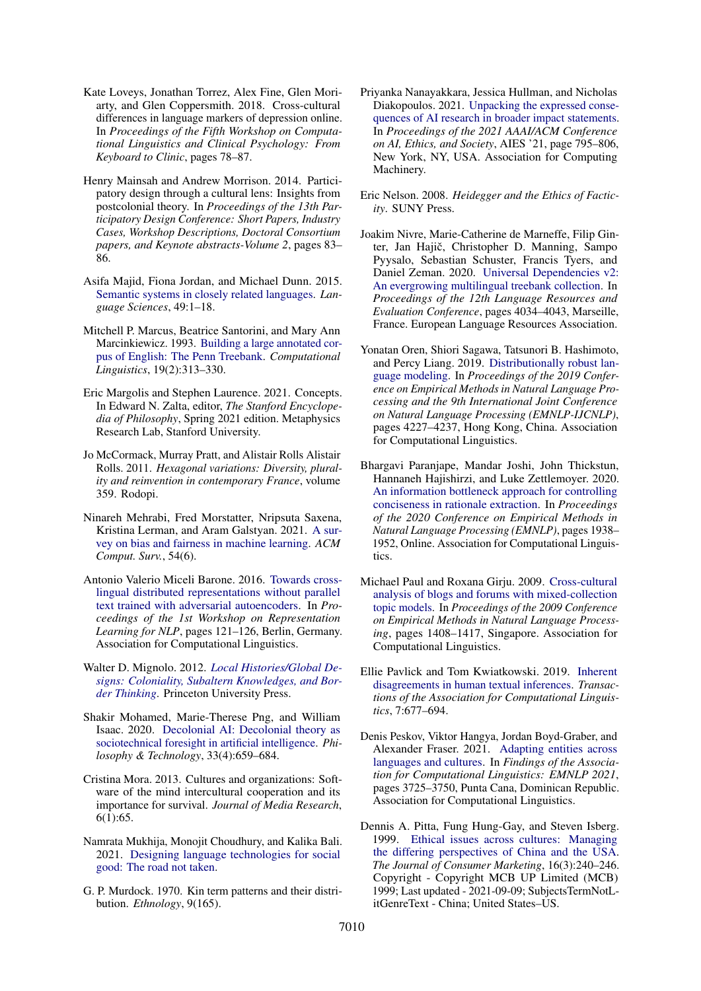- <span id="page-13-3"></span>Kate Loveys, Jonathan Torrez, Alex Fine, Glen Moriarty, and Glen Coppersmith. 2018. Cross-cultural differences in language markers of depression online. In *Proceedings of the Fifth Workshop on Computational Linguistics and Clinical Psychology: From Keyboard to Clinic*, pages 78–87.
- <span id="page-13-16"></span>Henry Mainsah and Andrew Morrison. 2014. Participatory design through a cultural lens: Insights from postcolonial theory. In *Proceedings of the 13th Participatory Design Conference: Short Papers, Industry Cases, Workshop Descriptions, Doctoral Consortium papers, and Keynote abstracts-Volume 2*, pages 83– 86.
- <span id="page-13-7"></span>Asifa Majid, Fiona Jordan, and Michael Dunn. 2015. [Semantic systems in closely related languages.](https://doi.org/10.1016/j.langsci.2014.11.002) *Language Sciences*, 49:1–18.
- <span id="page-13-10"></span>Mitchell P. Marcus, Beatrice Santorini, and Mary Ann Marcinkiewicz. 1993. [Building a large annotated cor](https://aclanthology.org/J93-2004)[pus of English: The Penn Treebank.](https://aclanthology.org/J93-2004) *Computational Linguistics*, 19(2):313–330.
- <span id="page-13-5"></span>Eric Margolis and Stephen Laurence. 2021. Concepts. In Edward N. Zalta, editor, *The Stanford Encyclopedia of Philosophy*, Spring 2021 edition. Metaphysics Research Lab, Stanford University.
- <span id="page-13-2"></span>Jo McCormack, Murray Pratt, and Alistair Rolls Alistair Rolls. 2011. *Hexagonal variations: Diversity, plurality and reinvention in contemporary France*, volume 359. Rodopi.
- <span id="page-13-17"></span>Ninareh Mehrabi, Fred Morstatter, Nripsuta Saxena, Kristina Lerman, and Aram Galstyan. 2021. [A sur](https://doi.org/10.1145/3457607)[vey on bias and fairness in machine learning.](https://doi.org/10.1145/3457607) *ACM Comput. Surv.*, 54(6).
- <span id="page-13-4"></span>Antonio Valerio Miceli Barone. 2016. [Towards cross](https://doi.org/10.18653/v1/W16-1614)[lingual distributed representations without parallel](https://doi.org/10.18653/v1/W16-1614) [text trained with adversarial autoencoders.](https://doi.org/10.18653/v1/W16-1614) In *Proceedings of the 1st Workshop on Representation Learning for NLP*, pages 121–126, Berlin, Germany. Association for Computational Linguistics.
- <span id="page-13-20"></span>Walter D. Mignolo. 2012. *[Local Histories/Global De](https://doi.org/doi:10.1515/9781400845064)[signs: Coloniality, Subaltern Knowledges, and Bor](https://doi.org/doi:10.1515/9781400845064)[der Thinking](https://doi.org/doi:10.1515/9781400845064)*. Princeton University Press.
- <span id="page-13-13"></span>Shakir Mohamed, Marie-Therese Png, and William Isaac. 2020. [Decolonial AI: Decolonial theory as](https://doi.org/10.1007/s13347-020-00405-8) [sociotechnical foresight in artificial intelligence.](https://doi.org/10.1007/s13347-020-00405-8) *Philosophy & Technology*, 33(4):659–684.
- <span id="page-13-0"></span>Cristina Mora. 2013. Cultures and organizations: Software of the mind intercultural cooperation and its importance for survival. *Journal of Media Research*, 6(1):65.
- <span id="page-13-21"></span>Namrata Mukhija, Monojit Choudhury, and Kalika Bali. 2021. [Designing language technologies for social](http://arxiv.org/abs/2110.07444) [good: The road not taken.](http://arxiv.org/abs/2110.07444)
- <span id="page-13-6"></span>G. P. Murdock. 1970. Kin term patterns and their distribution. *Ethnology*, 9(165).
- <span id="page-13-11"></span>Priyanka Nanayakkara, Jessica Hullman, and Nicholas Diakopoulos. 2021. [Unpacking the expressed conse](https://doi.org/10.1145/3461702.3462608)[quences of AI research in broader impact statements.](https://doi.org/10.1145/3461702.3462608) In *Proceedings of the 2021 AAAI/ACM Conference on AI, Ethics, and Society*, AIES '21, page 795–806, New York, NY, USA. Association for Computing Machinery.
- <span id="page-13-9"></span>Eric Nelson. 2008. *Heidegger and the Ethics of Facticity*. SUNY Press.
- <span id="page-13-14"></span>Joakim Nivre, Marie-Catherine de Marneffe, Filip Ginter, Jan Hajič, Christopher D. Manning, Sampo Pyysalo, Sebastian Schuster, Francis Tyers, and Daniel Zeman. 2020. [Universal Dependencies v2:](https://aclanthology.org/2020.lrec-1.497) [An evergrowing multilingual treebank collection.](https://aclanthology.org/2020.lrec-1.497) In *Proceedings of the 12th Language Resources and Evaluation Conference*, pages 4034–4043, Marseille, France. European Language Resources Association.
- <span id="page-13-18"></span>Yonatan Oren, Shiori Sagawa, Tatsunori B. Hashimoto, and Percy Liang. 2019. [Distributionally robust lan](https://doi.org/10.18653/v1/D19-1432)[guage modeling.](https://doi.org/10.18653/v1/D19-1432) In *Proceedings of the 2019 Conference on Empirical Methods in Natural Language Processing and the 9th International Joint Conference on Natural Language Processing (EMNLP-IJCNLP)*, pages 4227–4237, Hong Kong, China. Association for Computational Linguistics.
- <span id="page-13-8"></span>Bhargavi Paranjape, Mandar Joshi, John Thickstun, Hannaneh Hajishirzi, and Luke Zettlemoyer. 2020. [An information bottleneck approach for controlling](https://doi.org/10.18653/v1/2020.emnlp-main.153) [conciseness in rationale extraction.](https://doi.org/10.18653/v1/2020.emnlp-main.153) In *Proceedings of the 2020 Conference on Empirical Methods in Natural Language Processing (EMNLP)*, pages 1938– 1952, Online. Association for Computational Linguistics.
- <span id="page-13-1"></span>Michael Paul and Roxana Girju. 2009. [Cross-cultural](https://aclanthology.org/D09-1146) [analysis of blogs and forums with mixed-collection](https://aclanthology.org/D09-1146) [topic models.](https://aclanthology.org/D09-1146) In *Proceedings of the 2009 Conference on Empirical Methods in Natural Language Processing*, pages 1408–1417, Singapore. Association for Computational Linguistics.
- <span id="page-13-15"></span>Ellie Pavlick and Tom Kwiatkowski. 2019. [Inherent](https://doi.org/10.1162/tacl_a_00293) [disagreements in human textual inferences.](https://doi.org/10.1162/tacl_a_00293) *Transactions of the Association for Computational Linguistics*, 7:677–694.
- <span id="page-13-19"></span>Denis Peskov, Viktor Hangya, Jordan Boyd-Graber, and Alexander Fraser. 2021. [Adapting entities across](https://aclanthology.org/2021.findings-emnlp.315) [languages and cultures.](https://aclanthology.org/2021.findings-emnlp.315) In *Findings of the Association for Computational Linguistics: EMNLP 2021*, pages 3725–3750, Punta Cana, Dominican Republic. Association for Computational Linguistics.
- <span id="page-13-12"></span>Dennis A. Pitta, Fung Hung-Gay, and Steven Isberg. 1999. [Ethical issues across cultures: Managing](https://www.proquest.com/scholarly-journals/ethical-issues-across-cultures-managing-differing/docview/220134780/se-2?accountid=13607) [the differing perspectives of China and the USA.](https://www.proquest.com/scholarly-journals/ethical-issues-across-cultures-managing-differing/docview/220134780/se-2?accountid=13607) *The Journal of Consumer Marketing*, 16(3):240–246. Copyright - Copyright MCB UP Limited (MCB) 1999; Last updated - 2021-09-09; SubjectsTermNotLitGenreText - China; United States–US.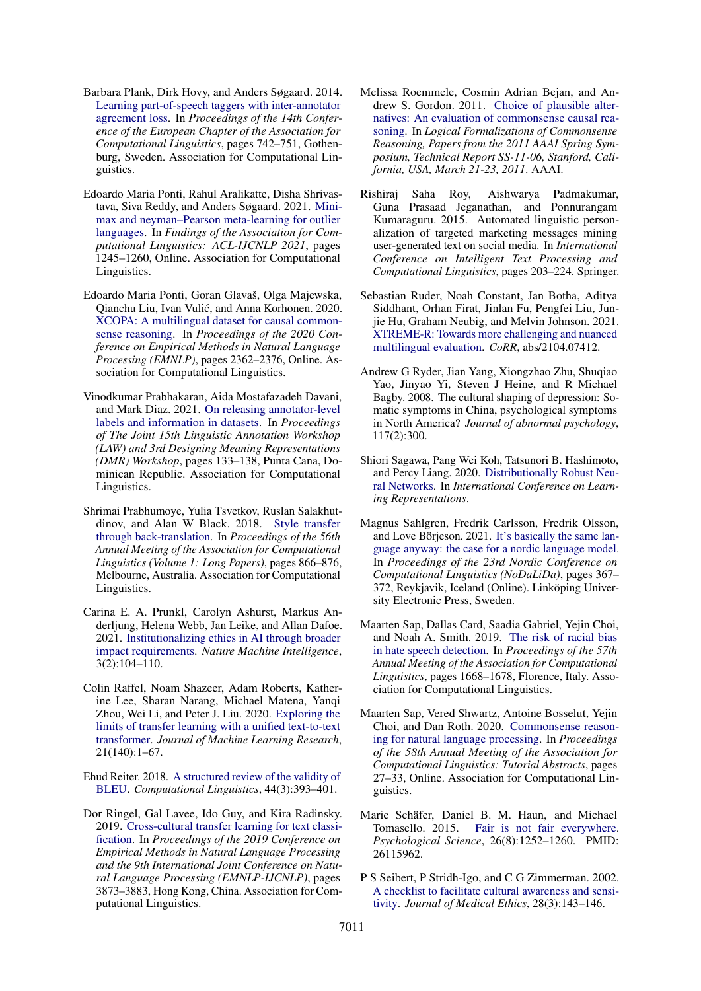- <span id="page-14-10"></span>Barbara Plank, Dirk Hovy, and Anders Søgaard. 2014. [Learning part-of-speech taggers with inter-annotator](https://doi.org/10.3115/v1/E14-1078) [agreement loss.](https://doi.org/10.3115/v1/E14-1078) In *Proceedings of the 14th Conference of the European Chapter of the Association for Computational Linguistics*, pages 742–751, Gothenburg, Sweden. Association for Computational Linguistics.
- <span id="page-14-15"></span>Edoardo Maria Ponti, Rahul Aralikatte, Disha Shrivastava, Siva Reddy, and Anders Søgaard. 2021. [Mini](https://doi.org/10.18653/v1/2021.findings-acl.106)[max and neyman–Pearson meta-learning for outlier](https://doi.org/10.18653/v1/2021.findings-acl.106) [languages.](https://doi.org/10.18653/v1/2021.findings-acl.106) In *Findings of the Association for Computational Linguistics: ACL-IJCNLP 2021*, pages 1245–1260, Online. Association for Computational Linguistics.
- <span id="page-14-12"></span>Edoardo Maria Ponti, Goran Glavaš, Olga Majewska, Qianchu Liu, Ivan Vulic, and Anna Korhonen. 2020. ´ [XCOPA: A multilingual dataset for causal common](https://doi.org/10.18653/v1/2020.emnlp-main.185)[sense reasoning.](https://doi.org/10.18653/v1/2020.emnlp-main.185) In *Proceedings of the 2020 Conference on Empirical Methods in Natural Language Processing (EMNLP)*, pages 2362–2376, Online. Association for Computational Linguistics.
- <span id="page-14-11"></span>Vinodkumar Prabhakaran, Aida Mostafazadeh Davani, and Mark Diaz. 2021. [On releasing annotator-level](https://aclanthology.org/2021.law-1.14) [labels and information in datasets.](https://aclanthology.org/2021.law-1.14) In *Proceedings of The Joint 15th Linguistic Annotation Workshop (LAW) and 3rd Designing Meaning Representations (DMR) Workshop*, pages 133–138, Punta Cana, Dominican Republic. Association for Computational Linguistics.
- <span id="page-14-16"></span>Shrimai Prabhumoye, Yulia Tsvetkov, Ruslan Salakhutdinov, and Alan W Black. 2018. [Style transfer](https://doi.org/10.18653/v1/P18-1080) [through back-translation.](https://doi.org/10.18653/v1/P18-1080) In *Proceedings of the 56th Annual Meeting of the Association for Computational Linguistics (Volume 1: Long Papers)*, pages 866–876, Melbourne, Australia. Association for Computational Linguistics.
- <span id="page-14-7"></span>Carina E. A. Prunkl, Carolyn Ashurst, Markus Anderljung, Helena Webb, Jan Leike, and Allan Dafoe. 2021. [Institutionalizing ethics in AI through broader](https://doi.org/10.1038/s42256-021-00298-y) [impact requirements.](https://doi.org/10.1038/s42256-021-00298-y) *Nature Machine Intelligence*, 3(2):104–110.
- <span id="page-14-9"></span>Colin Raffel, Noam Shazeer, Adam Roberts, Katherine Lee, Sharan Narang, Michael Matena, Yanqi Zhou, Wei Li, and Peter J. Liu. 2020. [Exploring the](http://jmlr.org/papers/v21/20-074.html) [limits of transfer learning with a unified text-to-text](http://jmlr.org/papers/v21/20-074.html) [transformer.](http://jmlr.org/papers/v21/20-074.html) *Journal of Machine Learning Research*, 21(140):1–67.
- <span id="page-14-18"></span>Ehud Reiter. 2018. [A structured review of the validity of](https://doi.org/10.1162/coli_a_00322) [BLEU.](https://doi.org/10.1162/coli_a_00322) *Computational Linguistics*, 44(3):393–401.
- <span id="page-14-1"></span>Dor Ringel, Gal Lavee, Ido Guy, and Kira Radinsky. 2019. [Cross-cultural transfer learning for text classi](https://doi.org/10.18653/v1/D19-1400)[fication.](https://doi.org/10.18653/v1/D19-1400) In *Proceedings of the 2019 Conference on Empirical Methods in Natural Language Processing and the 9th International Joint Conference on Natural Language Processing (EMNLP-IJCNLP)*, pages 3873–3883, Hong Kong, China. Association for Computational Linguistics.
- <span id="page-14-13"></span>Melissa Roemmele, Cosmin Adrian Bejan, and Andrew S. Gordon. 2011. [Choice of plausible alter](http://www.aaai.org/ocs/index.php/SSS/SSS11/paper/view/2418)[natives: An evaluation of commonsense causal rea](http://www.aaai.org/ocs/index.php/SSS/SSS11/paper/view/2418)[soning.](http://www.aaai.org/ocs/index.php/SSS/SSS11/paper/view/2418) In *Logical Formalizations of Commonsense Reasoning, Papers from the 2011 AAAI Spring Symposium, Technical Report SS-11-06, Stanford, California, USA, March 21-23, 2011*. AAAI.
- <span id="page-14-17"></span>Rishiraj Saha Roy, Aishwarya Padmakumar, Guna Prasaad Jeganathan, and Ponnurangam Kumaraguru. 2015. Automated linguistic personalization of targeted marketing messages mining user-generated text on social media. In *International Conference on Intelligent Text Processing and Computational Linguistics*, pages 203–224. Springer.
- <span id="page-14-8"></span>Sebastian Ruder, Noah Constant, Jan Botha, Aditya Siddhant, Orhan Firat, Jinlan Fu, Pengfei Liu, Junjie Hu, Graham Neubig, and Melvin Johnson. 2021. [XTREME-R: Towards more challenging and nuanced](http://arxiv.org/abs/2104.07412) [multilingual evaluation.](http://arxiv.org/abs/2104.07412) *CoRR*, abs/2104.07412.
- <span id="page-14-2"></span>Andrew G Ryder, Jian Yang, Xiongzhao Zhu, Shuqiao Yao, Jinyao Yi, Steven J Heine, and R Michael Bagby. 2008. The cultural shaping of depression: Somatic symptoms in China, psychological symptoms in North America? *Journal of abnormal psychology*, 117(2):300.
- <span id="page-14-14"></span>Shiori Sagawa, Pang Wei Koh, Tatsunori B. Hashimoto, and Percy Liang. 2020. [Distributionally Robust Neu](https://openreview.net/forum?id=ryxGuJrFvS)[ral Networks.](https://openreview.net/forum?id=ryxGuJrFvS) In *International Conference on Learning Representations*.
- <span id="page-14-0"></span>Magnus Sahlgren, Fredrik Carlsson, Fredrik Olsson, and Love Börjeson. 2021. [It's basically the same lan](https://aclanthology.org/2021.nodalida-main.39)[guage anyway: the case for a nordic language model.](https://aclanthology.org/2021.nodalida-main.39) In *Proceedings of the 23rd Nordic Conference on Computational Linguistics (NoDaLiDa)*, pages 367– 372, Reykjavik, Iceland (Online). Linköping University Electronic Press, Sweden.
- <span id="page-14-6"></span>Maarten Sap, Dallas Card, Saadia Gabriel, Yejin Choi, and Noah A. Smith. 2019. [The risk of racial bias](https://doi.org/10.18653/v1/P19-1163) [in hate speech detection.](https://doi.org/10.18653/v1/P19-1163) In *Proceedings of the 57th Annual Meeting of the Association for Computational Linguistics*, pages 1668–1678, Florence, Italy. Association for Computational Linguistics.
- <span id="page-14-3"></span>Maarten Sap, Vered Shwartz, Antoine Bosselut, Yejin Choi, and Dan Roth. 2020. [Commonsense reason](https://doi.org/10.18653/v1/2020.acl-tutorials.7)[ing for natural language processing.](https://doi.org/10.18653/v1/2020.acl-tutorials.7) In *Proceedings of the 58th Annual Meeting of the Association for Computational Linguistics: Tutorial Abstracts*, pages 27–33, Online. Association for Computational Linguistics.
- <span id="page-14-5"></span>Marie Schäfer, Daniel B. M. Haun, and Michael Tomasello. 2015. [Fair is not fair everywhere.](https://doi.org/10.1177/0956797615586188) *Psychological Science*, 26(8):1252–1260. PMID: 26115962.
- <span id="page-14-4"></span>P S Seibert, P Stridh-Igo, and C G Zimmerman. 2002. [A checklist to facilitate cultural awareness and sensi](https://doi.org/10.1136/jme.28.3.143)[tivity.](https://doi.org/10.1136/jme.28.3.143) *Journal of Medical Ethics*, 28(3):143–146.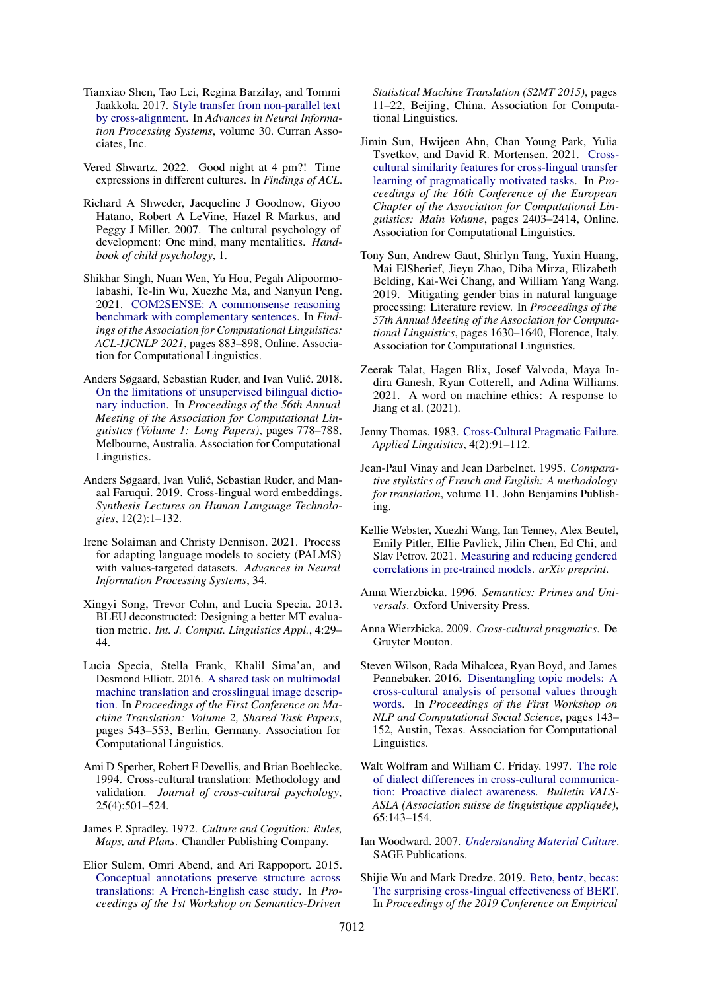- <span id="page-15-21"></span>Tianxiao Shen, Tao Lei, Regina Barzilay, and Tommi Jaakkola. 2017. [Style transfer from non-parallel text](https://proceedings.neurips.cc/paper/2017/file/2d2c8394e31101a261abf1784302bf75-Paper.pdf) [by cross-alignment.](https://proceedings.neurips.cc/paper/2017/file/2d2c8394e31101a261abf1784302bf75-Paper.pdf) In *Advances in Neural Information Processing Systems*, volume 30. Curran Associates, Inc.
- <span id="page-15-18"></span>Vered Shwartz. 2022. Good night at 4 pm?! Time expressions in different cultures. In *Findings of ACL*.
- <span id="page-15-0"></span>Richard A Shweder, Jacqueline J Goodnow, Giyoo Hatano, Robert A LeVine, Hazel R Markus, and Peggy J Miller. 2007. The cultural psychology of development: One mind, many mentalities. *Handbook of child psychology*, 1.
- <span id="page-15-13"></span>Shikhar Singh, Nuan Wen, Yu Hou, Pegah Alipoormolabashi, Te-lin Wu, Xuezhe Ma, and Nanyun Peng. 2021. [COM2SENSE: A commonsense reasoning](https://doi.org/10.18653/v1/2021.findings-acl.78) [benchmark with complementary sentences.](https://doi.org/10.18653/v1/2021.findings-acl.78) In *Findings of the Association for Computational Linguistics: ACL-IJCNLP 2021*, pages 883–898, Online. Association for Computational Linguistics.
- <span id="page-15-15"></span>Anders Søgaard, Sebastian Ruder, and Ivan Vulic. 2018. ´ [On the limitations of unsupervised bilingual dictio](https://doi.org/10.18653/v1/P18-1072)[nary induction.](https://doi.org/10.18653/v1/P18-1072) In *Proceedings of the 56th Annual Meeting of the Association for Computational Linguistics (Volume 1: Long Papers)*, pages 778–788, Melbourne, Australia. Association for Computational Linguistics.
- <span id="page-15-16"></span>Anders Søgaard, Ivan Vulić, Sebastian Ruder, and Manaal Faruqui. 2019. Cross-lingual word embeddings. *Synthesis Lectures on Human Language Technologies*, 12(2):1–132.
- <span id="page-15-10"></span>Irene Solaiman and Christy Dennison. 2021. Process for adapting language models to society (PALMS) with values-targeted datasets. *Advances in Neural Information Processing Systems*, 34.
- <span id="page-15-22"></span>Xingyi Song, Trevor Cohn, and Lucia Specia. 2013. BLEU deconstructed: Designing a better MT evaluation metric. *Int. J. Comput. Linguistics Appl.*, 4:29– 44.
- <span id="page-15-8"></span>Lucia Specia, Stella Frank, Khalil Sima'an, and Desmond Elliott. 2016. [A shared task on multimodal](https://doi.org/10.18653/v1/W16-2346) [machine translation and crosslingual image descrip](https://doi.org/10.18653/v1/W16-2346)[tion.](https://doi.org/10.18653/v1/W16-2346) In *Proceedings of the First Conference on Machine Translation: Volume 2, Shared Task Papers*, pages 543–553, Berlin, Germany. Association for Computational Linguistics.
- <span id="page-15-20"></span>Ami D Sperber, Robert F Devellis, and Brian Boehlecke. 1994. Cross-cultural translation: Methodology and validation. *Journal of cross-cultural psychology*, 25(4):501–524.
- <span id="page-15-1"></span>James P. Spradley. 1972. *Culture and Cognition: Rules, Maps, and Plans*. Chandler Publishing Company.
- <span id="page-15-19"></span>Elior Sulem, Omri Abend, and Ari Rappoport. 2015. [Conceptual annotations preserve structure across](https://doi.org/10.18653/v1/W15-3502) [translations: A French-English case study.](https://doi.org/10.18653/v1/W15-3502) In *Proceedings of the 1st Workshop on Semantics-Driven*

*Statistical Machine Translation (S2MT 2015)*, pages 11–22, Beijing, China. Association for Computational Linguistics.

- <span id="page-15-17"></span>Jimin Sun, Hwijeen Ahn, Chan Young Park, Yulia Tsvetkov, and David R. Mortensen. 2021. [Cross](https://doi.org/10.18653/v1/2021.eacl-main.204)[cultural similarity features for cross-lingual transfer](https://doi.org/10.18653/v1/2021.eacl-main.204) [learning of pragmatically motivated tasks.](https://doi.org/10.18653/v1/2021.eacl-main.204) In *Proceedings of the 16th Conference of the European Chapter of the Association for Computational Linguistics: Main Volume*, pages 2403–2414, Online. Association for Computational Linguistics.
- <span id="page-15-11"></span>Tony Sun, Andrew Gaut, Shirlyn Tang, Yuxin Huang, Mai ElSherief, Jieyu Zhao, Diba Mirza, Elizabeth Belding, Kai-Wei Chang, and William Yang Wang. 2019. Mitigating gender bias in natural language processing: Literature review. In *Proceedings of the 57th Annual Meeting of the Association for Computational Linguistics*, pages 1630–1640, Florence, Italy. Association for Computational Linguistics.
- <span id="page-15-9"></span>Zeerak Talat, Hagen Blix, Josef Valvoda, Maya Indira Ganesh, Ryan Cotterell, and Adina Williams. 2021. A word on machine ethics: A response to Jiang et al. (2021).
- <span id="page-15-4"></span>Jenny Thomas. 1983. [Cross-Cultural Pragmatic Failure.](https://doi.org/10.1093/applin/4.2.91) *Applied Linguistics*, 4(2):91–112.
- <span id="page-15-5"></span>Jean-Paul Vinay and Jean Darbelnet. 1995. *Comparative stylistics of French and English: A methodology for translation*, volume 11. John Benjamins Publishing.
- <span id="page-15-12"></span>Kellie Webster, Xuezhi Wang, Ian Tenney, Alex Beutel, Emily Pitler, Ellie Pavlick, Jilin Chen, Ed Chi, and Slav Petrov. 2021. [Measuring and reducing gendered](http://arxiv.org/abs/2010.06032) [correlations in pre-trained models.](http://arxiv.org/abs/2010.06032) *arXiv preprint*.
- <span id="page-15-7"></span>Anna Wierzbicka. 1996. *Semantics: Primes and Universals*. Oxford University Press.
- <span id="page-15-6"></span>Anna Wierzbicka. 2009. *Cross-cultural pragmatics*. De Gruyter Mouton.
- <span id="page-15-2"></span>Steven Wilson, Rada Mihalcea, Ryan Boyd, and James Pennebaker. 2016. [Disentangling topic models: A](https://doi.org/10.18653/v1/W16-5619) [cross-cultural analysis of personal values through](https://doi.org/10.18653/v1/W16-5619) [words.](https://doi.org/10.18653/v1/W16-5619) In *Proceedings of the First Workshop on NLP and Computational Social Science*, pages 143– 152, Austin, Texas. Association for Computational Linguistics.
- <span id="page-15-3"></span>Walt Wolfram and William C. Friday. 1997. [The role](https://core.ac.uk/reader/20651756) [of dialect differences in cross-cultural communica](https://core.ac.uk/reader/20651756)[tion: Proactive dialect awareness.](https://core.ac.uk/reader/20651756) *Bulletin VALS-ASLA (Association suisse de linguistique appliquée)*, 65:143–154.
- <span id="page-15-23"></span>Ian Woodward. 2007. *[Understanding Material Culture](https://books.google.dk/books?id=5yGxJEmQnagC)*. SAGE Publications.
- <span id="page-15-14"></span>Shijie Wu and Mark Dredze. 2019. [Beto, bentz, becas:](https://doi.org/10.18653/v1/D19-1077) [The surprising cross-lingual effectiveness of BERT.](https://doi.org/10.18653/v1/D19-1077) In *Proceedings of the 2019 Conference on Empirical*